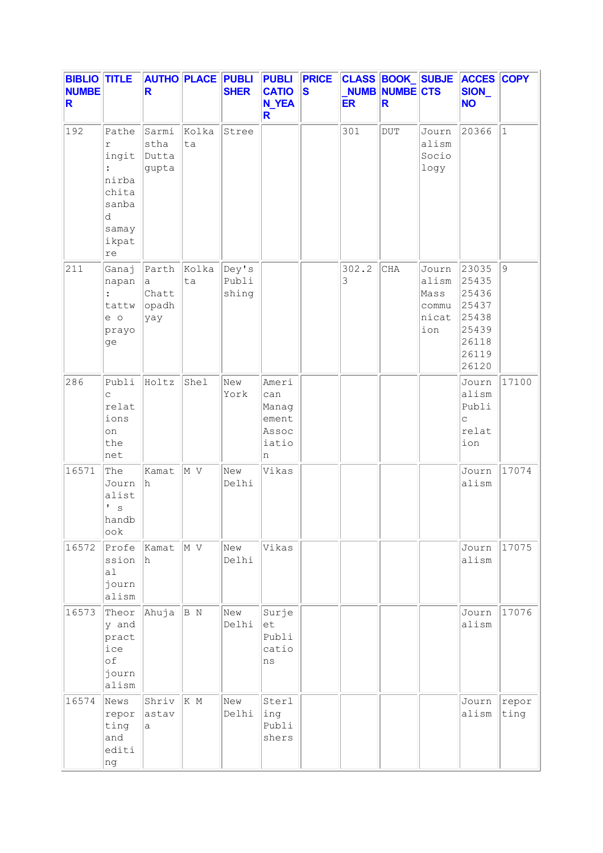| <b>BIBLIO TITLE</b><br><b>NUMBE</b><br>R |                                                                                        | R                                                  | <b>AUTHO PLACE PUBLI</b> | <b>SHER</b>             | <b>PUBLI PRICE</b><br><b>CATIO</b><br><b>N_YEA</b><br>R. | <b>S</b> | <b>ER</b>  | <b>NUMB NUMBE CTS</b><br>R |                                                 | CLASS BOOK_SUBJE ACCES COPY<br>SION_<br><b>NO</b>                             |               |
|------------------------------------------|----------------------------------------------------------------------------------------|----------------------------------------------------|--------------------------|-------------------------|----------------------------------------------------------|----------|------------|----------------------------|-------------------------------------------------|-------------------------------------------------------------------------------|---------------|
| 192                                      | Pathe<br>r<br>ingit<br>nirba<br>chita<br>sanba<br>d<br>samay<br>ikpat<br>$\mathtt{re}$ | Sarmi<br>stha<br>Dutta<br>gupta                    | Kolka<br>ta              | Stree                   |                                                          |          | 301        | <b>DUT</b>                 | Journ<br>alism<br>Socio<br>logy                 | 20366                                                                         | $\mathbf{1}$  |
| 211                                      | Ganaj<br>napan<br>$\ddot{\cdot}$<br>tattw<br>e o<br>prayo<br>ge                        | Parth<br>$\mathsf{a}$<br>Chatt<br>$ $ opadh<br>yay | Kolka<br>ta              | Dey's<br>Publi<br>shing |                                                          |          | 302.2<br>3 | <b>CHA</b>                 | Journ<br>alism<br>Mass<br>commu<br>nicat<br>ion | 23035<br>25435<br>25436<br>25437<br>25438<br>25439<br>26118<br>26119<br>26120 | 9             |
| 286                                      | Publi<br>C<br>relat<br>ions<br>on<br>the<br>net                                        | Holtz                                              | Shel                     | New<br>York             | Ameri<br>can<br>Manag<br>ement<br>Assoc<br>iatio<br>n    |          |            |                            |                                                 | Journ<br>alism<br>Publi<br>$\mathsf{C}$<br>relat<br>ion                       | 17100         |
| 16571                                    | The<br>Journ<br>alist<br>τ.<br>S<br>handb<br>ook                                       | Kamat<br>h                                         | M V                      | New<br>Delhi            | Vikas                                                    |          |            |                            |                                                 | Journ<br>alism                                                                | 17074         |
| 16572                                    | Profe<br>ssion<br>al<br>journ<br>alism                                                 | Kamat<br>h.                                        | M V                      | New<br>Delhi            | Vikas                                                    |          |            |                            |                                                 | Journ<br>alism                                                                | 17075         |
| 16573                                    | Theor<br>y and<br>pract<br>ice<br>of<br>journ<br>alism                                 | Ahuja                                              | B N                      | New<br>Delhi            | Surje<br>et<br>Publi<br>catio<br>ns                      |          |            |                            |                                                 | Journ<br>alism                                                                | 17076         |
| 16574                                    | News<br>repor<br>ting<br>and<br>editi<br>ng                                            | Shriv<br>astav<br>a                                | K M                      | New<br>Delhi            | Sterl<br>ing<br>Publi<br>shers                           |          |            |                            |                                                 | Journ<br>alism                                                                | repor<br>ting |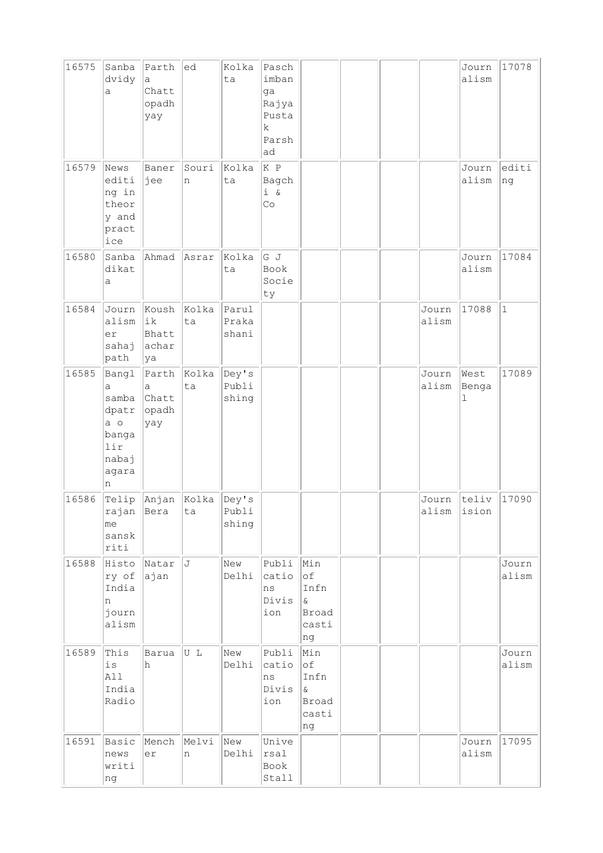| 16575 | Sanba<br>dvidy<br>a                                                        | Parth<br>a<br>Chatt<br>opadh<br>yay | ed          | Kolka<br>ta             | Pasch<br>imban<br>ga<br>Rajya<br>Pusta<br>$\mathbf k$<br>Parsh<br>ad |                                                              |  |                      | Journ<br>alism               | 17078            |
|-------|----------------------------------------------------------------------------|-------------------------------------|-------------|-------------------------|----------------------------------------------------------------------|--------------------------------------------------------------|--|----------------------|------------------------------|------------------|
| 16579 | News<br>editi<br>ng in<br>theor<br>y and<br>pract<br>ice                   | Baner<br>jee                        | Souri<br>n  | Kolka<br>ta             | K P<br>Bagch<br>$i \&$<br>Co                                         |                                                              |  |                      | Journ<br>alism               | $ $ editi<br> ng |
| 16580 | Sanba<br>dikat<br>a                                                        | Ahmad                               | Asrar       | Kolka<br>ta             | G J<br>Book<br>Socie<br>ty                                           |                                                              |  |                      | Journ<br>alism               | 17084            |
| 16584 | Journ<br>alism<br>er<br>sahaj<br>path                                      | Koush<br>ik<br>Bhatt<br>achar<br>ya | Kolka<br>ta | Parul<br>Praka<br>shani |                                                                      |                                                              |  | Journ<br>alism       | 17088                        | $\vert$ 1        |
| 16585 | Bangl<br>а<br>samba<br>dpatr<br>a o<br>banga<br>lir<br>nabaj<br>agara<br>n | Parth<br>а<br>Chatt<br>opadh<br>yay | Kolka<br>ta | Dey's<br>Publi<br>shing |                                                                      |                                                              |  | Journ<br>alism       | West<br>Benga<br>$\mathbf 1$ | 17089            |
| 16586 | Telip<br>rajan Bera<br>me<br>sansk<br>riti                                 | Anjan Kolka                         | ta          | Dey's<br>Publi<br>shing |                                                                      |                                                              |  | Journ<br>alism ision | teliv                        | 17090            |
| 16588 | Histo<br>ry of<br>India<br>n<br>journ<br>alism                             | Natar<br>ajan                       | J           | New<br>Delhi            | Publi<br>catio<br>ns<br>Divis<br>ion                                 | Min<br>of<br>Infn<br>$\delta$<br>Broad<br>casti<br>ng        |  |                      |                              | Journ<br>alism   |
| 16589 | This<br>$\rm \dot{1}\,\rm S$<br>All<br>India<br>Radio                      | Barua<br>h                          | U L         | New<br>Delhi            | Publi<br>catio<br>ns<br>Divis<br>ion                                 | Min<br>$\circ$ f<br>Infn<br>$\delta$<br>Broad<br>casti<br>ng |  |                      |                              | Journ<br>alism   |
| 16591 | Basic<br>news<br>writi<br>ng                                               | Mench<br>er                         | Melvi<br>n  | New<br>Delhi            | Unive<br>rsal<br>Book<br>Stall                                       |                                                              |  |                      | Journ<br>alism               | 17095            |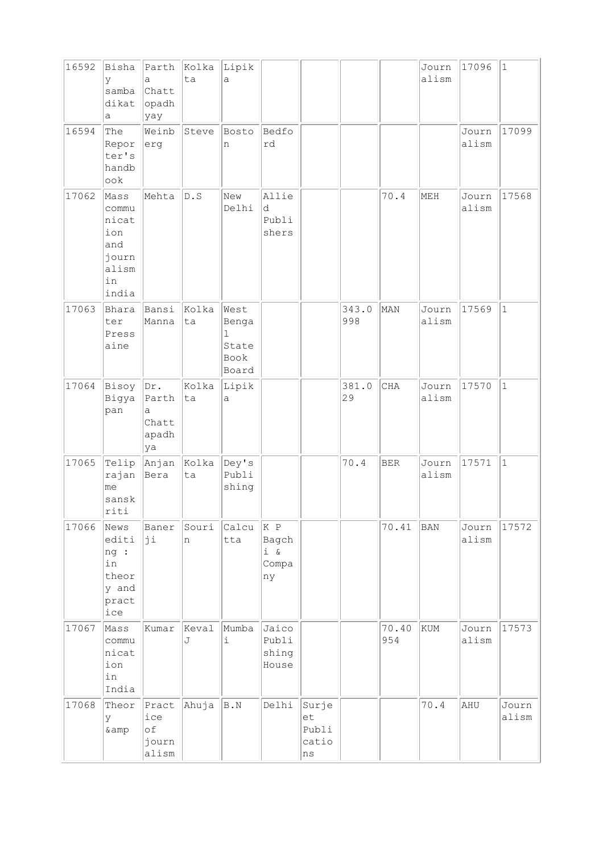| 16592 | Bisha<br>У<br>samba<br>dikat<br>а                                     | Parth<br>a<br>Chatt<br>opadh<br>yay       | Kolka<br>ta | Lipik<br>a                                   |                                  |                                     |              |              | Journ<br>alism | 17096          | $\mathbf{1}$   |
|-------|-----------------------------------------------------------------------|-------------------------------------------|-------------|----------------------------------------------|----------------------------------|-------------------------------------|--------------|--------------|----------------|----------------|----------------|
| 16594 | The<br>Repor<br>ter's<br>handb<br>$\circ \circ k$                     | Weinb<br>erg                              | Steve       | Bosto<br>n                                   | Bedfo<br>rd                      |                                     |              |              |                | Journ<br>alism | 17099          |
| 17062 | Mass<br>commu<br>nicat<br>ion<br>and<br>journ<br>alism<br>in<br>india | Mehta                                     | D.S         | New<br>Delhi                                 | Allie<br>d<br>Publi<br>shers     |                                     |              | 70.4         | MEH            | Journ<br>alism | 17568          |
| 17063 | Bhara<br>ter<br>Press<br>aine                                         | Bansi<br>Manna                            | Kolka<br>ta | West<br>Benga<br>ı<br>State<br>Book<br>Board |                                  |                                     | 343.0<br>998 | MAN          | Journ<br>alism | 17569          | $\mathbf{1}$   |
| 17064 | Bisoy<br>Bigya<br>pan                                                 | Dr.<br>Parth<br>a<br>Chatt<br>apadh<br>ya | Kolka<br>ta | Lipik<br>a                                   |                                  |                                     | 381.0<br>29  | <b>CHA</b>   | Journ<br>alism | 17570          | $\mathbf{1}$   |
| 17065 | Telip<br>rajan<br>me<br>sansk<br>riti                                 | Anjan <br>Bera                            | Kolka<br>ta | Dey's<br>Publi<br>shing                      |                                  |                                     | 70.4         | <b>BER</b>   | Journ<br>alism | 17571          | $\mathbf{1}$   |
| 17066 | News<br>editi<br>ng :<br>in<br>theor<br>y and<br>pract<br>ice         | Baner<br>þi                               | Souri<br>n  | $ $ Calcu $ $ K P<br>tta                     | Bagch<br>$i \&$<br>Compa<br>ny   |                                     |              | 70.41        | BAN            | Journ<br>alism | 17572          |
| 17067 | Mass<br>commu<br>nicat<br>ion<br>in<br>India                          | Kumar                                     | Keval<br>J  | Mumba<br>$\dot{1}$                           | Jaico<br>Publi<br>shing<br>House |                                     |              | 70.40<br>954 | <b>KUM</b>     | Journ<br>alism | 17573          |
| 17068 | Theor<br>У<br>& amp                                                   | Pract<br>ice<br>оf<br>journ<br>alism      | Ahuja       | B.N                                          | Delhi                            | Surje<br>et<br>Publi<br>catio<br>ns |              |              | 70.4           | AHU            | Journ<br>alism |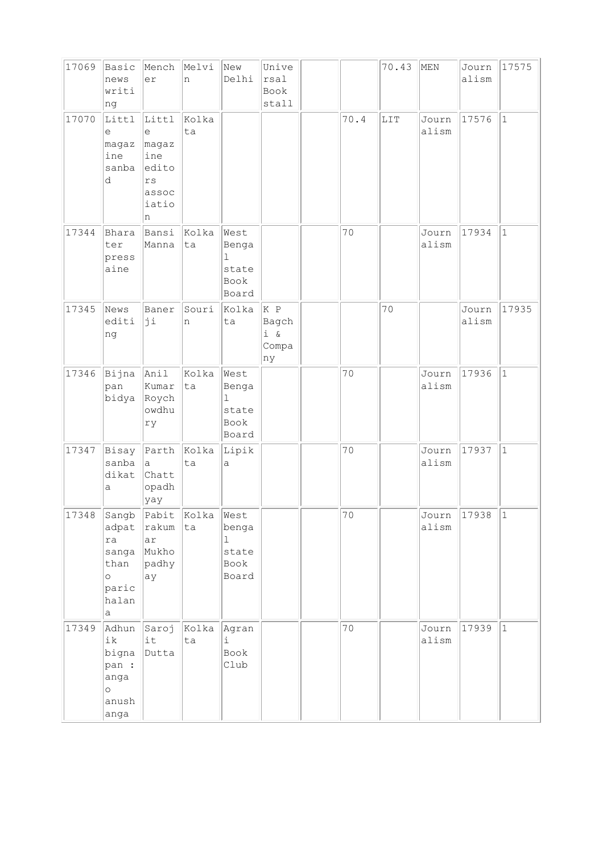| 17069 | Basic<br>news<br>writi<br>ng                                            | Mench<br>er                                                                 | Melvi<br>n  | New<br>Delhi                                            | Unive<br>rsal<br>Book<br>stall        |      | 70.43 | MEN            | Journ<br>alism | 17575        |
|-------|-------------------------------------------------------------------------|-----------------------------------------------------------------------------|-------------|---------------------------------------------------------|---------------------------------------|------|-------|----------------|----------------|--------------|
| 17070 | Littl<br>е<br>magaz<br>ine<br>sanba<br>d                                | Littl<br>е<br>magaz<br>ine<br>edito<br>$\mathtt{rs}$<br>assoc<br>iatio<br>n | Kolka<br>ta |                                                         |                                       | 70.4 | LIT   | Journ<br>alism | 17576          | $\mathbf{1}$ |
| 17344 | Bhara<br>ter<br>press<br>aine                                           | Bansi<br>Manna                                                              | Kolka<br>ta | West<br>Benga<br>$\mathbf{1}$<br>state<br>Book<br>Board |                                       | 70   |       | Journ<br>alism | 17934          | $\mathbf{1}$ |
| 17345 | News<br>editi<br>ng                                                     | Baner<br>þi                                                                 | Souri<br>n  | Kolka<br>ta                                             | K P<br>Bagch<br>$i \&$<br>Compa<br>ny |      | 70    |                | Journ<br>alism | 17935        |
| 17346 | Bijna<br>pan<br>bidya                                                   | Anil<br>Kumar<br>Roych<br>owdhu<br>ry                                       | Kolka<br>ta | West<br>Benga<br>$\mathbf 1$<br>state<br>Book<br>Board  |                                       | 70   |       | Journ<br>alism | 17936          | $\mathbf{1}$ |
| 17347 | Bisay<br>sanba<br>dikat<br>a                                            | Parth<br>a<br>Chatt<br>opadh<br>yay                                         | Kolka<br>ta | Lipik<br>$\mathsf{a}$                                   |                                       | 70   |       | Journ<br>alism | 17937          | $1\,$        |
| 17348 | Sangb<br>adpat<br>ra<br>sanga<br>than<br>$\circ$<br>paric<br>halan<br>a | Pabit<br>rakum<br>ar<br>Mukho<br>padhy<br>ay                                | Kolka<br>ta | West<br>benga<br>1<br>state<br>Book<br>Board            |                                       | 70   |       | Journ<br>alism | 17938          | $\mathbf{1}$ |
| 17349 | Adhun<br>ik<br>bigna<br>pan :<br>anga<br>$\circ$<br>anush<br>anga       | Saroj<br>it<br>Dutta                                                        | Kolka<br>ta | Agran<br>i<br>Book<br>Club                              |                                       | $70$ |       | Journ<br>alism | 17939          | $\vert$ 1    |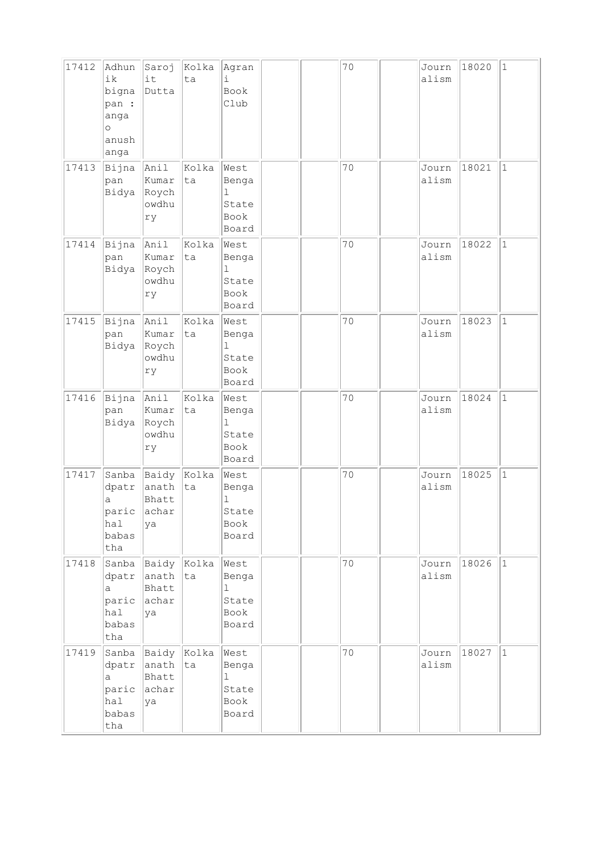| 17412 | Adhun<br>ik<br>bigna<br>pan :<br>anga<br>$\circ$<br>anush<br>anga | Saroj<br>it<br>Dutta                                               | Kolka<br>ta | Agran<br>i<br>Book<br>Club                              |  | 70 | Journ<br>alism | 18020 | $1\,$        |
|-------|-------------------------------------------------------------------|--------------------------------------------------------------------|-------------|---------------------------------------------------------|--|----|----------------|-------|--------------|
| 17413 | Bijna<br>pan<br>Bidya                                             | Anil<br>Kumar<br>Roych<br>owdhu<br>ry                              | Kolka<br>ta | West<br>Benga<br>ı<br>State<br>Book<br>Board            |  | 70 | Journ<br>alism | 18021 | $\mathbf{1}$ |
| 17414 | Bijna<br>pan<br>Bidya                                             | Anil<br>Kumar<br>Roych<br>owdhu<br>ry                              | Kolka<br>ta | West<br>Benga<br>$\mathbf 1$<br>State<br>Book<br>Board  |  | 70 | Journ<br>alism | 18022 | $\mathbf{1}$ |
| 17415 | Bijna<br>pan<br>Bidya                                             | Anil<br>Kumar<br>Roych<br>owdhu<br>ry                              | Kolka<br>ta | West<br>Benga<br>ı<br>State<br>Book<br>Board            |  | 70 | Journ<br>alism | 18023 | $\mathbf{1}$ |
| 17416 | Bijna<br>pan<br>Bidya                                             | Anil<br>Kumar<br>Roych<br>owdhu<br>ry                              | Kolka<br>ta | West<br>Benga<br>$\mathbf{1}$<br>State<br>Book<br>Board |  | 70 | Journ<br>alism | 18024 | $1\,$        |
| 17417 | Sanba<br>dpatr<br>a<br>hal<br>babas<br>tha                        | $\beta$ Baidy $\beta$ Kolka<br>anath<br>Bhatt<br>paric achar<br>ya | ta          | West<br>Benga<br>ı<br>State<br>Book<br>Board            |  | 70 | Journ<br>alism | 18025 | $\mathbf{1}$ |
| 17418 | Sanba<br>dpatr<br>a<br>paric<br>hal<br>babas<br>tha               | Baidy Kolka<br>anath<br>Bhatt<br>achar<br>ya                       | ta          | West<br>Benga<br>$\mathbf 1$<br>State<br>Book<br>Board  |  | 70 | Journ<br>alism | 18026 | $\mathbf{1}$ |
| 17419 | Sanba<br>dpatr<br>a<br>paric<br>hal<br>babas<br>tha               | Baidy<br>anath<br>Bhatt<br>achar<br>ya                             | Kolka<br>ta | West<br>Benga<br>$\mathbf{1}$<br>State<br>Book<br>Board |  | 70 | Journ<br>alism | 18027 | $\mathbf{1}$ |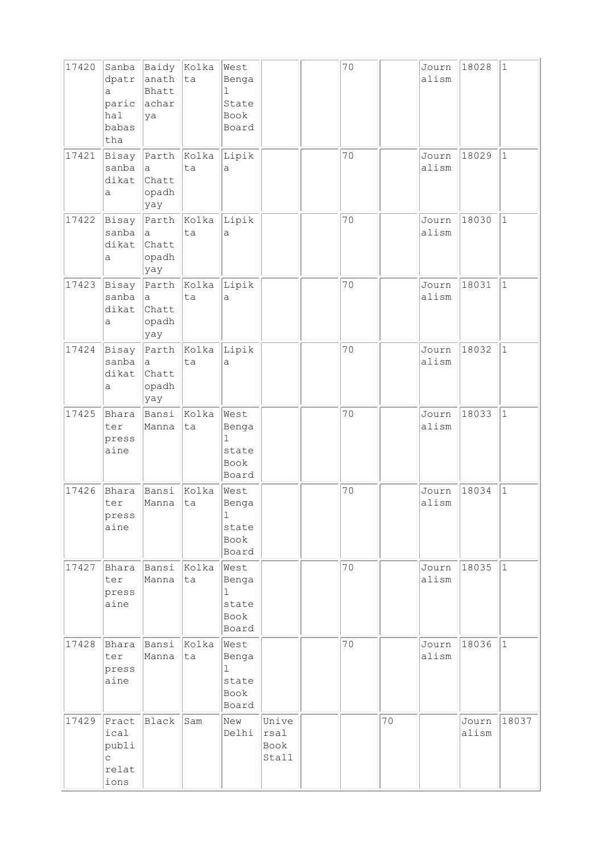| 17420 | Sanba<br>dpatr<br>a<br>paric<br>hal<br>babas<br>tha | Baidy<br>anath<br>Bhatt<br>achar<br>ya         | Kolka<br>ta       | West<br>Benga<br>1<br>State<br>Book<br>Board            |                                | 70 |    | Journ<br>alism | 18028          | 1           |
|-------|-----------------------------------------------------|------------------------------------------------|-------------------|---------------------------------------------------------|--------------------------------|----|----|----------------|----------------|-------------|
| 17421 | Bisay<br>sanba<br>dikat<br>а                        | Parth<br>a<br>Chatt<br>opadh<br>yay            | $\ $ Kolka<br>ta  | Lipik<br>a                                              |                                | 70 |    | Journ<br>alism | 18029          | $\vert$ 1   |
| 17422 | Bisay<br>sanba<br>dikat<br>a                        | $\mathsf{a}$<br>Chatt<br>opadh<br>yay          | Parth Kolka<br>ta | Lipik<br>a                                              |                                | 70 |    | Journ<br>alism | 18030          | $\vert$ 1   |
| 17423 | Bisay<br>sanba<br>dikat<br>a                        | Parth<br>$\mathsf{a}$<br>Chatt<br>opadh<br>yay | Kolka<br>ta       | Lipik<br>a                                              |                                | 70 |    | Journ<br>alism | 18031          | $\vert$ 1   |
| 17424 | Bisay<br>sanba<br>dikat<br>а                        | Parth<br>$\mathsf{a}$<br>Chatt<br>opadh<br>yay | Kolka<br>ta       | Lipik<br>a                                              |                                | 70 |    | Journ<br>alism | 18032          | $\vert$ 1   |
| 17425 | Bhara<br>ter<br>press<br>aine                       | Bansi<br>Manna                                 | Kolka<br>ta       | West<br>Benga<br>$\mathbf 1$<br>state<br>Book<br>Board  |                                | 70 |    | Journ<br>alism | 18033          | $1\,$       |
| 17426 | Bhara<br>ter<br>press<br>aine                       | Bansi<br>Manna                                 | Kolka<br>ta       | West<br>Benga<br>T,<br>state<br>Book<br>Board           |                                | 70 |    | Journ<br>alism | 18034          | $\vert$ 1   |
| 17427 | Bhara<br>ter<br>press<br>aine                       | Bansi<br>Manna                                 | Kolka<br>ta       | West<br>Benga<br>$\mathbf{1}$<br>state<br>Book<br>Board |                                | 70 |    | Journ<br>alism | 18035          | $ 1\rangle$ |
| 17428 | Bhara<br>ter<br>press<br>aine                       | Bansi<br>Manna                                 | Kolka<br>ta       | West<br>Benga<br>1<br>state<br>Book<br>Board            |                                | 70 |    | Journ<br>alism | 18036          | $ 1\rangle$ |
| 17429 | Pract<br>ical<br>publi<br>C<br>relat<br>ions        | Black                                          | Sam               | New<br>Delhi                                            | Unive<br>rsal<br>Book<br>Stall |    | 70 |                | Journ<br>alism | 18037       |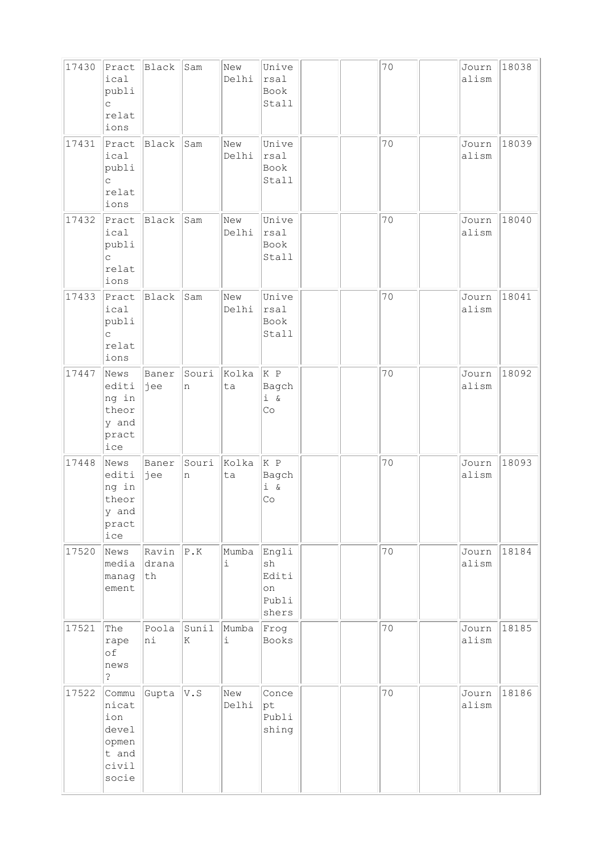| 17430 | Pract<br>ical<br>publi<br>$\mathsf{C}$<br>relat<br>ions            | Black                | Sam        | New<br>Delhi                 | Unive<br>rsal<br>Book<br>Stall               |  | 70 | Journ<br>alism | 18038 |
|-------|--------------------------------------------------------------------|----------------------|------------|------------------------------|----------------------------------------------|--|----|----------------|-------|
| 17431 | Pract<br>ical<br>publi<br>C<br>relat<br>ions                       | Black                | Sam        | New<br>Delhi                 | Unive<br>rsal<br>Book<br>Stall               |  | 70 | Journ<br>alism | 18039 |
| 17432 | Pract<br>ical<br>publi<br>$\mathsf{C}$<br>relat<br>ions            | Black                | Sam        | New<br>Delhi                 | Unive<br>rsal<br>Book<br>Stall               |  | 70 | Journ<br>alism | 18040 |
| 17433 | Pract<br>ical<br>publi<br>$\mathsf{C}$<br>relat<br>ions            | Black                | Sam        | New<br>Delhi                 | Unive<br>rsal<br>Book<br>Stall               |  | 70 | Journ<br>alism | 18041 |
| 17447 | News<br>editi<br>ng in<br>theor<br>y and<br>pract<br>ice           | Baner<br>jee         | Souri<br>n | Kolka<br>ta                  | K P<br>Bagch<br>$i \&$<br>Co                 |  | 70 | Journ<br>alism | 18092 |
| 17448 | News<br>editi<br>ng in<br>theor<br>y and<br>pract<br>ice           | Baner<br>jee         | Souri<br>n | Kolka<br>ta                  | K P<br>Bagch<br>$i \&$<br>Co                 |  | 70 | Journ<br>alism | 18093 |
| 17520 | News<br>media<br>manag<br>ement                                    | Ravin<br>drana<br>th | P.K        | Mumba<br>$\dot{\mathtt{l}}$  | Engli<br>sh<br>Editi<br>on<br>Publi<br>shers |  | 70 | Journ<br>alism | 18184 |
| 17521 | The<br>rape<br>of<br>news<br>$\ddot{\cdot}$                        | Poola<br>ni          | Sunil<br>K | Mumba<br>$\dot{\mathbbm{1}}$ | Frog<br>Books                                |  | 70 | Journ<br>alism | 18185 |
| 17522 | Commu<br>nicat<br>ion<br>devel<br>opmen<br>t and<br>civil<br>socie | Gupta                | V.S        | New<br>Delhi                 | Conce<br>$ {\rm pt}$<br>Publi<br>shing       |  | 70 | Journ<br>alism | 18186 |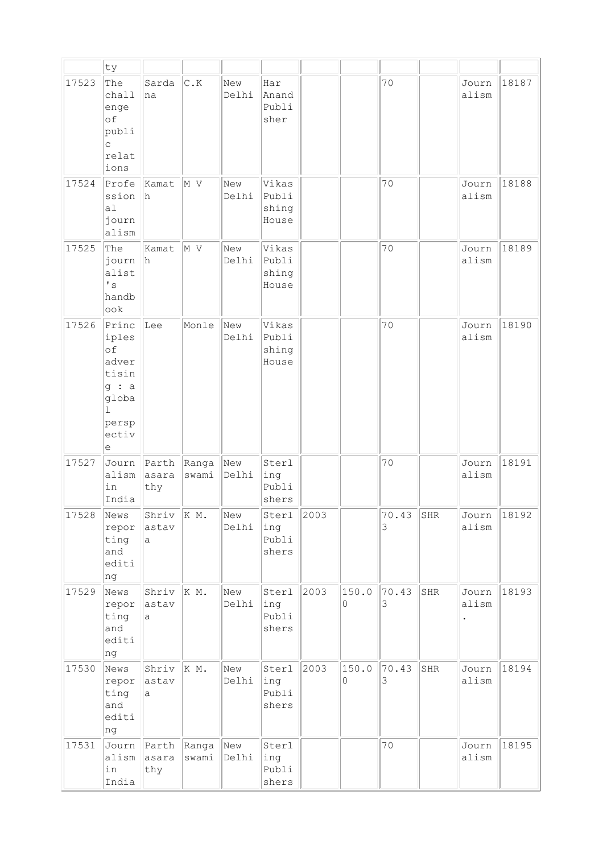|       | ty                                                                                              |                       |                    |              |                                  |      |            |            |     |                |       |
|-------|-------------------------------------------------------------------------------------------------|-----------------------|--------------------|--------------|----------------------------------|------|------------|------------|-----|----------------|-------|
| 17523 | The<br>chall<br>enge<br>of<br>publi<br>$\mathsf{C}$<br>relat<br>ions                            | Sarda<br>na           | $C$ .K             | New<br>Delhi | Har<br>Anand<br>Publi<br>sher    |      |            | 70         |     | Journ<br>alism | 18187 |
| 17524 | Profe<br>ssion<br>a1<br>journ<br>alism                                                          | Kamat<br>h            | M V                | New<br>Delhi | Vikas<br>Publi<br>shing<br>House |      |            | 70         |     | Journ<br>alism | 18188 |
| 17525 | The<br>journ<br>alist<br>$\mathbf{F}$ s<br>handb<br>ook                                         | Kamat<br>h.           | M V                | New<br>Delhi | Vikas<br>Publi<br>shing<br>House |      |            | 70         |     | Journ<br>alism | 18189 |
| 17526 | Princ<br>iples<br>of<br>adver<br>tisin<br>g : a<br>globa<br>$\mathbf{I}$<br>persp<br>ectiv<br>е | Lee                   | Monle              | New<br>Delhi | Vikas<br>Publi<br>shing<br>House |      |            | 70         |     | Journ<br>alism | 18190 |
| 17527 | Journ<br>alism<br>in<br>India                                                                   | Parth<br>asara<br>thy | Ranga<br>swami     | New<br>Delhi | Sterl<br>ing<br>Publi<br>shers   |      |            | 70         |     | Journ<br>alism | 18191 |
| 17528 | News<br>repor<br>ting<br>and<br>editi<br>ng                                                     | Shriv<br>astav<br>a   | K M.               | New<br>Delhi | Sterl<br>ing<br>Publi<br>shers   | 2003 |            | 70.43<br>3 | SHR | Journ<br>alism | 18192 |
| 17529 | News<br>repor<br>ting<br>and<br>editi<br>ng                                                     | Shriv<br>astav<br>a   | K M.               | New<br>Delhi | Sterl<br>ing<br>Publi<br>shers   | 2003 | 150.0<br>0 | 70.43<br>3 | SHR | Journ<br>alism | 18193 |
| 17530 | News<br>repor<br>ting<br>and<br>editi<br>ng                                                     | Shriv<br>astav<br>a   | K M.               | New<br>Delhi | Sterl<br>ing<br>Publi<br>shers   | 2003 | 150.0<br>0 | 70.43<br>3 | SHR | Journ<br>alism | 18194 |
| 17531 | Journ<br>alism<br>in<br>India                                                                   | Parth<br>asara<br>thy | Ranga New<br>swami | Delhi        | Sterl<br>ing<br>Publi<br>shers   |      |            | 70         |     | Journ<br>alism | 18195 |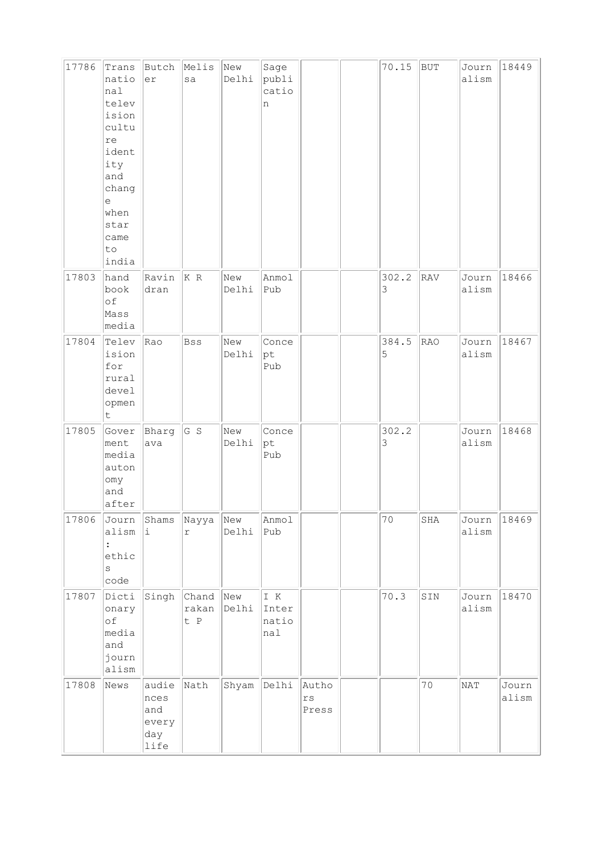| 17786 | Trans<br>natio<br>nal<br>telev<br>ision<br>cultu<br>re<br>ident<br>ity<br>and<br>chang<br>$\in$<br>when<br>star<br>came<br>to<br>india | Butch<br>er                                  | Melis<br>sa           | New<br>Delhi | Sage<br>publi<br>catio<br>n                   |                                          | 70.15      | BUT | Journ<br>alism | 18449          |
|-------|----------------------------------------------------------------------------------------------------------------------------------------|----------------------------------------------|-----------------------|--------------|-----------------------------------------------|------------------------------------------|------------|-----|----------------|----------------|
| 17803 | hand<br>book<br>of<br>Mass<br>media                                                                                                    | Ravin<br>dran                                | K R                   | New<br>Delhi | Anmol<br>Pub                                  |                                          | 302.2<br>3 | RAV | Journ<br>alism | 18466          |
| 17804 | Telev<br>ision<br>for<br>rural<br>devel<br>opmen<br>$\sf t$                                                                            | Rao                                          | Bss                   | New<br>Delhi | Conce<br>pt<br>Pub                            |                                          | 384.5<br>5 | RAO | Journ<br>alism | 18467          |
| 17805 | Gover<br>ment<br>media<br>auton<br>omy<br>and<br>after                                                                                 | Bharg<br>ava                                 | G S                   | New<br>Delhi | Conce<br>pt<br>Pub                            |                                          | 302.2<br>3 |     | Journ<br>alism | 18468          |
| 17806 | Journ<br>alism<br>ethic<br>S<br>code                                                                                                   | Shams<br>i                                   | Nayya<br>$\Upsilon$   | New<br>Delhi | Anmol<br>Pub                                  |                                          | 70         | SHA | Journ<br>alism | 18469          |
| 17807 | Dicti<br>onary<br>of<br>media<br>and<br>journ<br>alism                                                                                 | Singh                                        | Chand<br>rakan<br>t P | New<br>Delhi | $\mathbbm{I}$ $\,$ K<br>Inter<br>natio<br>nal |                                          | 70.3       | SIN | Journ<br>alism | 18470          |
| 17808 | News                                                                                                                                   | audie<br>nces<br>and<br>every<br>day<br>life | Nath                  | Shyam        | Delhi                                         | Autho<br>$\mathtt{r}\mathtt{s}$<br>Press |            | 70  | NAT            | Journ<br>alism |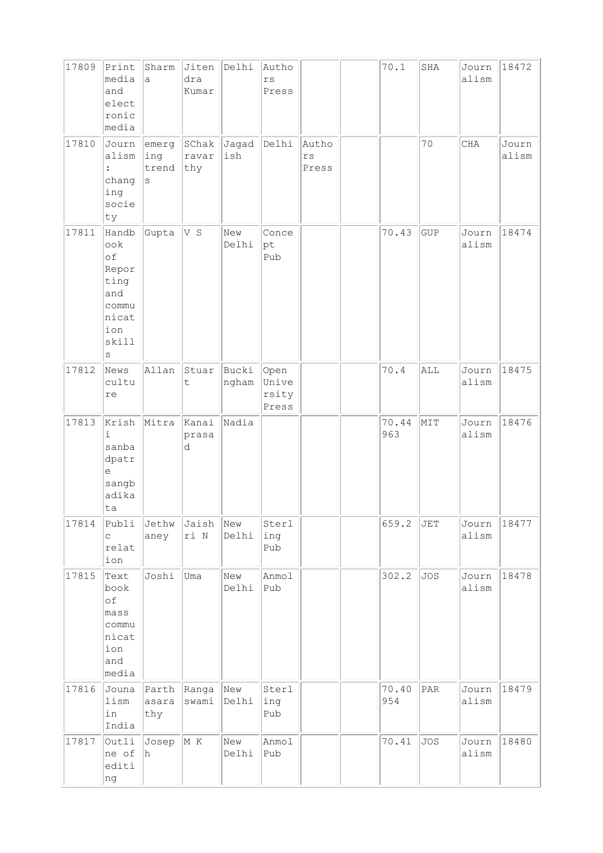| 17809 | Print<br>media<br>and<br>elect<br>ronic<br>media                                  | Sharm<br>a                 | Jiten<br>dra<br>Kumar | Delhi          | Autho<br>rs<br>Press            |                      | 70.1         | SHA            | Journ<br>alism | 18472          |
|-------|-----------------------------------------------------------------------------------|----------------------------|-----------------------|----------------|---------------------------------|----------------------|--------------|----------------|----------------|----------------|
| 17810 | Journ<br>alism<br>:<br>chang<br>ing<br>socie<br>ty                                | emerg<br>ing<br>trend<br>S | SChak<br>ravar<br>thy | Jagad<br>ish   | Delhi                           | Autho<br>rs<br>Press |              | 70             | <b>CHA</b>     | Journ<br>alism |
| 17811 | Handb<br>ook<br>of<br>Repor<br>ting<br>and<br>commu<br>nicat<br>ion<br>skill<br>S | Gupta                      | V S                   | New<br>Delhi   | Conce<br>pt<br>Pub              |                      | 70.43        | <b>GUP</b>     | Journ<br>alism | 18474          |
| 17812 | News<br>cultu<br>re                                                               | Allan                      | Stuar<br>t            | Bucki<br>ngham | Open<br>Unive<br>rsity<br>Press |                      | 70.4         | ALL            | Journ<br>alism | 18475          |
| 17813 | Krish<br>$\dot{1}$<br>sanba<br>dpatr<br>$\epsilon$<br>sangb<br>adika<br>ta        | Mitra                      | kanai<br>prasa<br>d   | Nadia          |                                 |                      | 70.44<br>963 | MIT            | Journ<br>alism | 18476          |
| 17814 | Publi<br>$\mathsf{C}$<br>relat<br>ion                                             | Jethw<br>aney              | Jaish New<br>ri N     | Delhi          | Sterl<br>ing<br>Pub             |                      | 659.2        | $\mathtt{JET}$ | Journ<br>alism | 18477          |
| 17815 | Text<br>book<br>of<br>mass<br>commu<br>nicat<br>ion<br>and<br>media               | Joshi                      | Uma                   | New<br>Delhi   | Anmol<br>Pub                    |                      | 302.2        | <b>JOS</b>     | Journ<br>alism | 18478          |
| 17816 | Jouna<br>lism<br>in<br>India                                                      | Parth<br>asara<br>thy      | Ranga<br>swami        | New<br>Delhi   | Sterl<br>ing<br>Pub             |                      | 70.40<br>954 | PAR            | Journ<br>alism | 18479          |
| 17817 | Outli<br>ne of<br>editi<br>ng                                                     | Josep<br>h                 | M K                   | New<br>Delhi   | Anmol<br>Pub                    |                      | 70.41        | <b>JOS</b>     | Journ<br>alism | 18480          |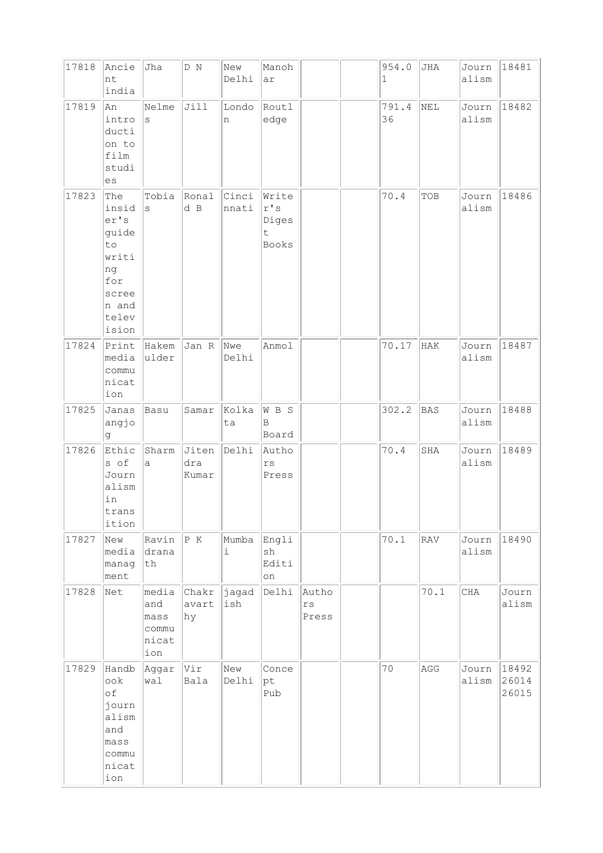| 17818 | Ancie<br>nt<br>india                                                                          | Jha                                           | D N                   | New<br>Delhi       | Manoh<br>ar                                                       |                                 | 954.0<br>$\mathbf{1}$ | JHA        | Journ<br>alism | 18481                   |
|-------|-----------------------------------------------------------------------------------------------|-----------------------------------------------|-----------------------|--------------------|-------------------------------------------------------------------|---------------------------------|-----------------------|------------|----------------|-------------------------|
| 17819 | An<br>intro<br>ducti<br>on to<br>film<br>studi<br>es                                          | Nelme<br>$\rm s$                              | Jill                  | Londo<br>n         | Routl<br>edge                                                     |                                 | 791.4<br>36           | NEL        | Journ<br>alism | 18482                   |
| 17823 | The<br>insid<br>er's<br>guide<br>to<br>writi<br>ng<br>for<br>scree<br>n and<br>telev<br>ision | Tobia<br>S                                    | Ronal<br>d B          | Cinci<br>nnati     | Write<br>$\mathtt{r}$ 's<br>Diges<br>$\ddot{\mathsf{t}}$<br>Books |                                 | 70.4                  | TOB        | Journ<br>alism | 18486                   |
| 17824 | Print<br>media<br>commu<br>nicat<br>ion                                                       | Hakem<br>ulder                                | Jan R                 | Nwe<br>Delhi       | Anmol                                                             |                                 | 70.17                 | HAK        | Journ<br>alism | 18487                   |
| 17825 | Janas<br>angjo<br>g.                                                                          | Basu                                          | Samar                 | Kolka<br>ta        | W B S<br>B<br>Board                                               |                                 | 302.2                 | <b>BAS</b> | Journ<br>alism | 18488                   |
| 17826 | Ethic<br>s of<br>Journ<br>alism<br>in<br>trans<br>ition                                       | Sharm<br>a                                    | Jiten<br>dra<br>Kumar | Delhi              | Autho<br>$\mathtt{r}\mathtt{s}$<br>Press                          |                                 | 70.4                  | SHA        | Journ<br>alism | 18489                   |
| 17827 | New<br>media<br>manag<br>ment                                                                 | Ravin<br>drana<br>$\tt th$                    | P K                   | Mumba<br>$\dot{1}$ | Engli<br>sh<br>Editi<br>$\circ$ n                                 |                                 | 70.1                  | RAV        | Journ<br>alism | 18490                   |
| 17828 | Net                                                                                           | media<br>and<br>mass<br>commu<br>nicat<br>ion | Chakr<br>avart<br>hy  | jagad<br>ish       | Delhi                                                             | Autho<br>$\mathtt{rs}$<br>Press |                       | 70.1       | CHA            | Journ<br>alism          |
| 17829 | Handb<br>$\circ \circ k$<br>of<br>journ<br>alism<br>and<br>mass<br>commu<br>nicat<br>ion      | Aggar<br>wal                                  | Vir<br>Bala           | New<br>Delhi       | Conce<br>pt<br>Pub                                                |                                 | 70                    | AGG        | Journ<br>alism | 18492<br>26014<br>26015 |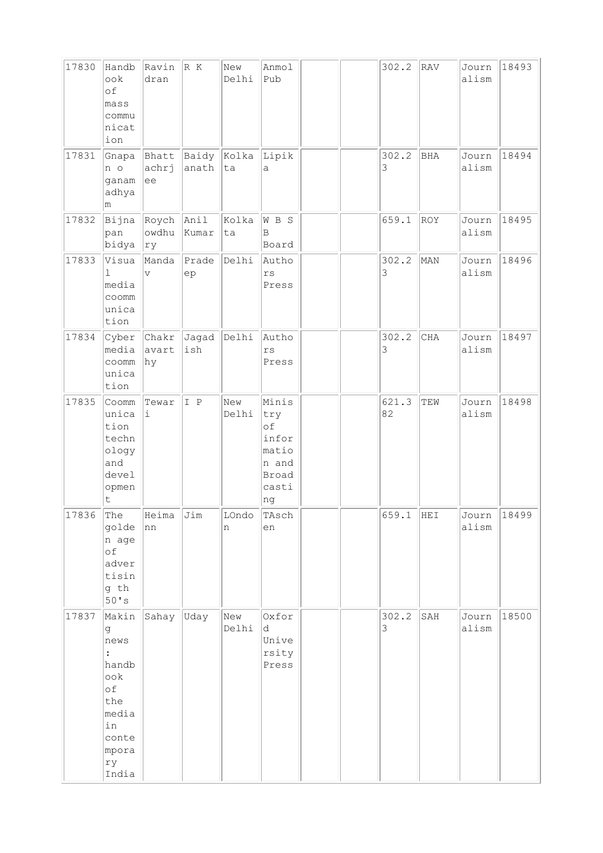| 17830 | Handb<br>ook<br>of<br>mass<br>commu<br>nicat<br>ion                                                               | Ravin<br>dran                    | R K            | New<br>Delhi | Anmol<br>Pub                                                          |  | 302.2       | RAV        | Journ<br>alism | 18493 |
|-------|-------------------------------------------------------------------------------------------------------------------|----------------------------------|----------------|--------------|-----------------------------------------------------------------------|--|-------------|------------|----------------|-------|
| 17831 | Gnapa<br>n o<br>ganam<br>adhya<br>m                                                                               | Bhatt<br>achrj<br>lee            | Baidy<br>anath | Kolka<br>ta  | Lipik<br>а                                                            |  | 302.2<br>3  | <b>BHA</b> | Journ<br>alism | 18494 |
| 17832 | Bijna<br>pan<br>bidya                                                                                             | Roych Anil<br>owdhu<br>ry        | Kumar          | Kolka<br>ta  | W B S<br>$\mathbf B$<br>Board                                         |  | 659.1       | ROY        | Journ<br>alism | 18495 |
| 17833 | Visua<br>1<br>media<br>coomm<br>unica<br>tion                                                                     | Manda<br>$\overline{\mathbf{V}}$ | Prade<br>ep    | Delhi        | Autho<br>$\mathtt{rs}$<br>Press                                       |  | 302.2<br>3  | MAN        | Journ<br>alism | 18496 |
| 17834 | Cyber<br>media<br>coomm<br>unica<br>tion                                                                          | Chakr<br>avart<br>hy             | Jagad<br>ish   | Delhi        | Autho<br>$\mathtt{rs}$<br>Press                                       |  | 302.2<br>3  | CHA        | Journ<br>alism | 18497 |
| 17835 | Coomm<br>unica<br>tion<br>techn<br>ology<br>and<br>devel<br>opmen<br>t                                            | Tewar<br>i                       | I P            | New<br>Delhi | Minis<br>try<br>оf<br>infor<br>matio<br>n and<br>Broad<br>casti<br>ng |  | 621.3<br>82 | TEW        | Journ<br>alism | 18498 |
| 17836 | The<br>golde<br>n age<br>of<br>adver<br>tisin<br>g th<br>50's                                                     | Heima<br>nn                      | Jim            | LOndo<br>n   | TAsch<br>en                                                           |  | 659.1       | HEI        | Journ<br>alism | 18499 |
| 17837 | Makin<br>g<br>news<br>$\ddot{\cdot}$<br>handb<br>ook<br>of<br>the<br>media<br>in<br>conte<br>mpora<br>ry<br>India | Sahay                            | Uday           | New<br>Delhi | Oxfor<br>d<br>Unive<br>rsity<br>Press                                 |  | 302.2<br>3  | SAH        | Journ<br>alism | 18500 |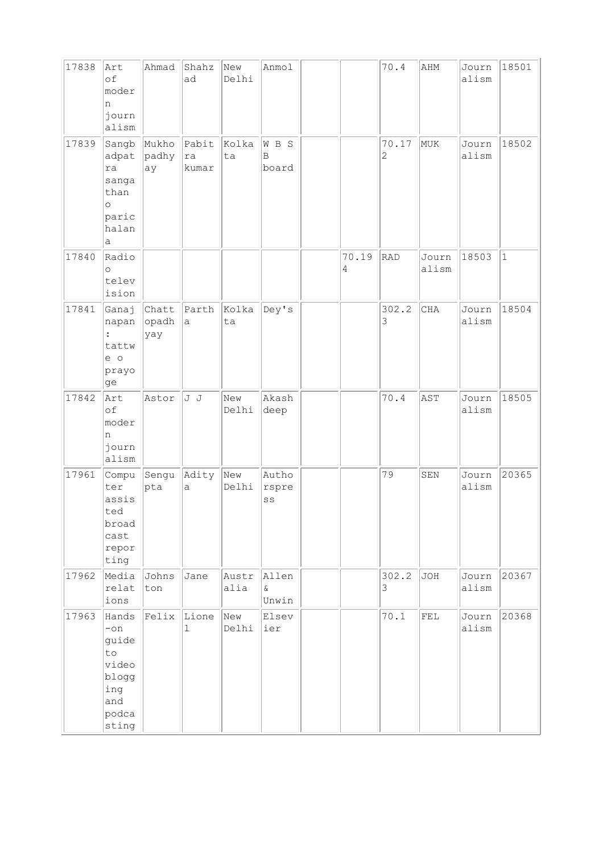| 17838 | Art<br>of<br>moder<br>n<br>journ<br>alism                                            | Ahmad                 | Shahz<br>ad           | New<br>Delhi  | Anmol                  |            | 70.4                    | AHM            | Journ<br>alism | 18501        |
|-------|--------------------------------------------------------------------------------------|-----------------------|-----------------------|---------------|------------------------|------------|-------------------------|----------------|----------------|--------------|
| 17839 | Sangb<br>adpat<br>ra<br>sanga<br>than<br>$\circ$<br>paric<br>halan<br>а              | Mukho<br>padhy<br>ay  | Pabit<br>ra<br>kumar  | Kolka<br>ta   | W B S<br>B<br>board    |            | 70.17<br>$\overline{c}$ | MUK            | Journ<br>alism | 18502        |
| 17840 | Radio<br>$\circ$<br>telev<br>ision                                                   |                       |                       |               |                        | 70.19<br>4 | RAD                     | Journ<br>alism | 18503          | $\mathbf{1}$ |
| 17841 | Ganaj<br>napan<br>$\ddot{\phantom{a}}$<br>tattw<br>e o<br>prayo<br>ge                | Chatt<br>opadh<br>yay | Parth<br>a            | Kolka<br>ta   | Dey's                  |            | 302.2<br>3              | CHA            | Journ<br>alism | 18504        |
| 17842 | Art<br>of<br>moder<br>n<br>journ<br>alism                                            | Astor                 | J J                   | New<br>Delhi  | Akash<br>deep          |            | 70.4                    | AST            | Journ<br>alism | 18505        |
| 17961 | Compu<br>ter<br>assis<br>ted<br>broad<br>cast<br>repor<br>ting                       | Sengu<br>pta          | Adity<br>a            | New<br>Delhi  | Autho<br>rspre<br>SS   |            | 79                      | SEN            | Journ<br>alism | 20365        |
| 17962 | Media<br>relat<br>ions                                                               | Johns<br>ton          | Jane                  | Austr<br>alia | Allen<br>$\&$<br>Unwin |            | 302.2<br>3              | JOH            | Journ<br>alism | 20367        |
| 17963 | Hands<br>$-\circ n$<br>guide<br>to<br>video<br>blogg<br>ing<br>and<br>podca<br>sting | Felix                 | Lione<br>$\mathbf{1}$ | New<br>Delhi  | Elsev<br> ier          |            | 70.1                    | ${\tt FEL}$    | Journ<br>alism | 20368        |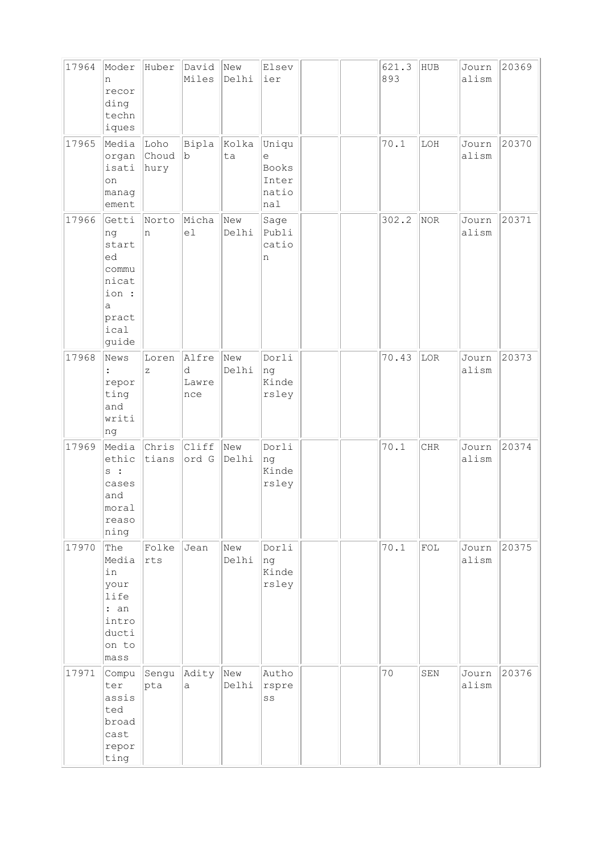| 17964 | Moder<br>n<br>recor<br>ding<br>techn<br>iques                                                   | Huber                 | David<br>Miles             | New<br>Delhi | Elsev<br>ier                                 |  | 621.3<br>893 | HUB        | Journ<br>alism | 20369 |
|-------|-------------------------------------------------------------------------------------------------|-----------------------|----------------------------|--------------|----------------------------------------------|--|--------------|------------|----------------|-------|
| 17965 | Media<br>organ<br>isati<br>on<br>manag<br>ement                                                 | Loho<br>Choud<br>hury | Bipla<br>b                 | Kolka<br>ta  | Uniqu<br>е<br>Books<br>Inter<br>natio<br>nal |  | 70.1         | LOH        | Journ<br>alism | 20370 |
| 17966 | Getti<br>ng<br>start<br>ed<br>commu<br>nicat<br>ion :<br>$\mathsf{a}$<br>pract<br>ical<br>guide | Norto<br>n            | Micha<br>el                | New<br>Delhi | Sage<br>Publi<br>catio<br>n                  |  | 302.2        | NOR        | Journ<br>alism | 20371 |
| 17968 | News<br>repor<br>ting<br>and<br>writi<br>ng                                                     | Loren<br>$\mathbf{z}$ | Alfre<br>d<br>Lawre<br>nce | New<br>Delhi | Dorli<br>ng<br>Kinde<br>rsley                |  | 70.43        | LOR        | Journ<br>alism | 20373 |
| 17969 | Media<br>ethic<br>$s$ :<br>cases<br>and<br>moral<br>reaso<br>ning                               | Chris<br>tians        | Cliff<br>ord G             | New<br>Delhi | Dorli<br>ng<br>Kinde<br>rsley                |  | 70.1         | <b>CHR</b> | Journ<br>alism | 20374 |
| 17970 | The<br>Media<br>in<br>your<br>life<br>: an<br>intro<br>ducti<br>on to<br>mass                   | Folke<br>rts          | Jean                       | New<br>Delhi | Dorli<br>ng<br>Kinde<br>rsley                |  | 70.1         | FOL        | Journ<br>alism | 20375 |
| 17971 | Compu<br>ter<br>assis<br>ted<br>broad<br>cast<br>repor<br>ting                                  | Sengu<br>pta          | Adity<br>a                 | New<br>Delhi | Autho<br>rspre<br>SS                         |  | 70           | SEN        | Journ<br>alism | 20376 |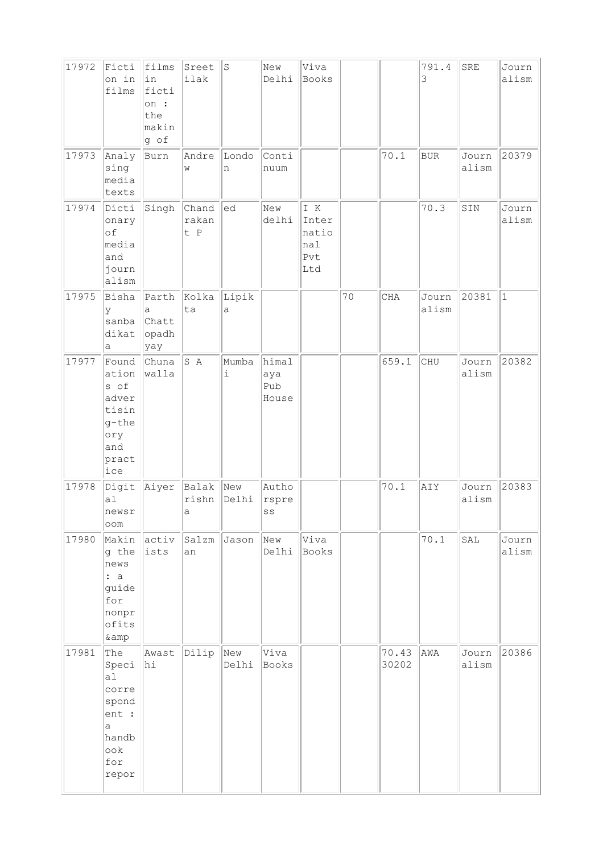| 17972 | Ficti<br>on in<br>films                                                                                  | films<br>in<br>ficti<br>on :<br>the<br>makin<br>g of | Sreet<br>ilak         | $\rm S$      | New<br>Delhi                 | Viva<br>Books                              |    |                | 791.4<br>3     | SRE            | Journ<br>alism |
|-------|----------------------------------------------------------------------------------------------------------|------------------------------------------------------|-----------------------|--------------|------------------------------|--------------------------------------------|----|----------------|----------------|----------------|----------------|
| 17973 | Analy<br>sing<br>media<br>texts                                                                          | Burn                                                 | Andre<br>W            | Londo<br>n   | Conti<br>nuum                |                                            |    | 70.1           | <b>BUR</b>     | Journ<br>alism | 20379          |
| 17974 | Dicti<br>onary<br>of<br>media<br>and<br>journ<br>alism                                                   | Singh                                                | Chand<br>rakan<br>t P | ed           | New<br>delhi                 | I K<br>Inter<br>natio<br>nal<br>Pvt<br>Ltd |    |                | 70.3           | SIN            | Journ<br>alism |
| 17975 | Bisha<br>У<br>sanba<br>dikat<br>а                                                                        | Parth<br>a<br>Chatt<br>opadh<br>yay                  | Kolka<br>ta           | Lipik<br>a   |                              |                                            | 70 | CHA            | Journ<br>alism | 20381          | $\mathbf{1}$   |
| 17977 | Found<br>ation<br>s of<br>adver<br>tisin<br>g-the<br>ory<br>and<br>pract<br>ice                          | Chuna<br>walla                                       | S A                   | Mumba<br>i   | himal<br>aya<br>Pub<br>House |                                            |    | 659.1          | CHU            | Journ<br>alism | 20382          |
| 17978 | Digit<br>a1<br>newsr<br>oom                                                                              | Aiyer                                                | Balak<br>rishn<br>a   | New<br>Delhi | Autho<br>rspre<br>SS         |                                            |    | 70.1           | AIY            | Journ<br>alism | 20383          |
| 17980 | Makin<br>g the<br>news<br>: a<br>guide<br>for<br>nonpr<br>ofits<br>&                                     | activ<br>ists                                        | Salzm<br>an           | Jason        | New<br>Delhi                 | Viva<br>Books                              |    |                | 70.1           | SAL            | Journ<br>alism |
| 17981 | The<br>Speci<br>a1<br>corre<br>spond<br>ent :<br>$\mathsf{a}$<br>handb<br>$\mathrm{ook}$<br>for<br>repor | Awast<br>hi                                          | Dilip                 | New<br>Delhi | Viva<br>Books                |                                            |    | 70.43<br>30202 | AWA            | Journ<br>alism | 20386          |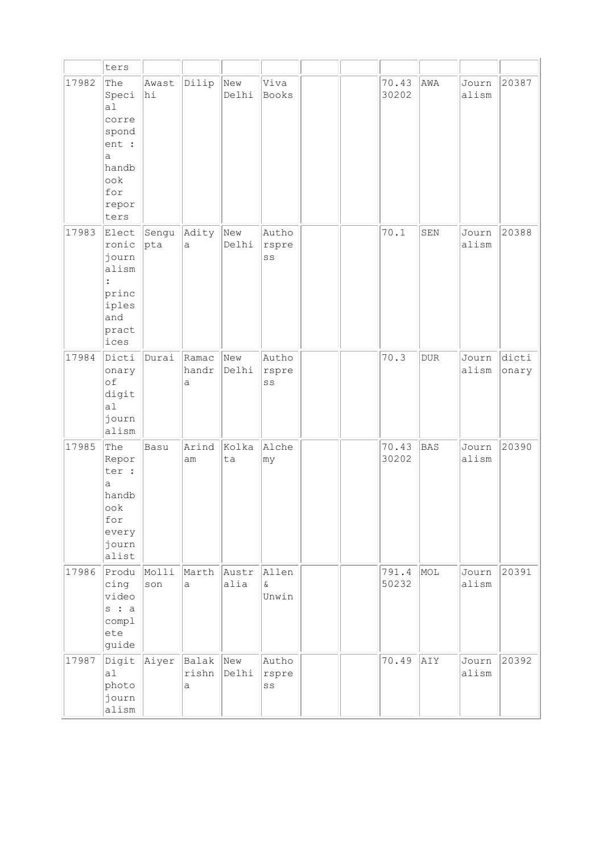|       | ters                                                                                         |              |                     |                    |                            |  |                |            |                |                |
|-------|----------------------------------------------------------------------------------------------|--------------|---------------------|--------------------|----------------------------|--|----------------|------------|----------------|----------------|
| 17982 | The<br>Speci<br>a1<br>corre<br>spond<br>ent :<br>a<br>handb<br>ook<br>for<br>repor<br>ters   | Awast<br>hi  | Dilip               | New<br>Delhi       | Viva<br>Books              |  | 70.43<br>30202 | AWA        | Journ<br>alism | 20387          |
| 17983 | Elect<br>ronic<br>journ<br>alism<br>$\ddot{\cdot}$<br>princ<br>iples<br>and<br>pract<br>ices | Sengu<br>pta | Adity<br>a          | $ _{New}$<br>Delhi | Autho<br>rspre<br>SS       |  | 70.1           | SEN        | Journ<br>alism | 20388          |
| 17984 | Dicti<br>onary<br>of<br>digit<br>al<br>journ<br>alism                                        | Durai        | Ramac<br>handr<br>a | New<br>Delhi       | Autho<br>rspre<br>SS       |  | 70.3           | <b>DUR</b> | Journ<br>alism | dicti<br>onary |
| 17985 | The<br>Repor<br>ter :<br>a<br>handb<br>$\circ \circ k$<br>for<br>every<br>journ<br>alist     | Basu         | Arind<br>am         | Kolka<br>ta        | Alche<br>$ $ my            |  | 70.43<br>30202 | BAS        | Journ<br>alism | 20390          |
| 17986 | Produ<br>cing<br>video<br>s : a<br>compl<br>ete<br>guide                                     | Molli<br>son | Marth<br>a          | Austr<br>alia      | Allen<br>$\delta$<br>Unwin |  | 791.4<br>50232 | MOL        | Journ<br>alism | 20391          |
| 17987 | Digit<br>a1<br>photo<br>journ<br>alism                                                       | Aiyer        | Balak<br>rishn<br>a | New<br>Delhi       | Autho<br>rspre<br>SS       |  | 70.49          | AIY        | Journ<br>alism | 20392          |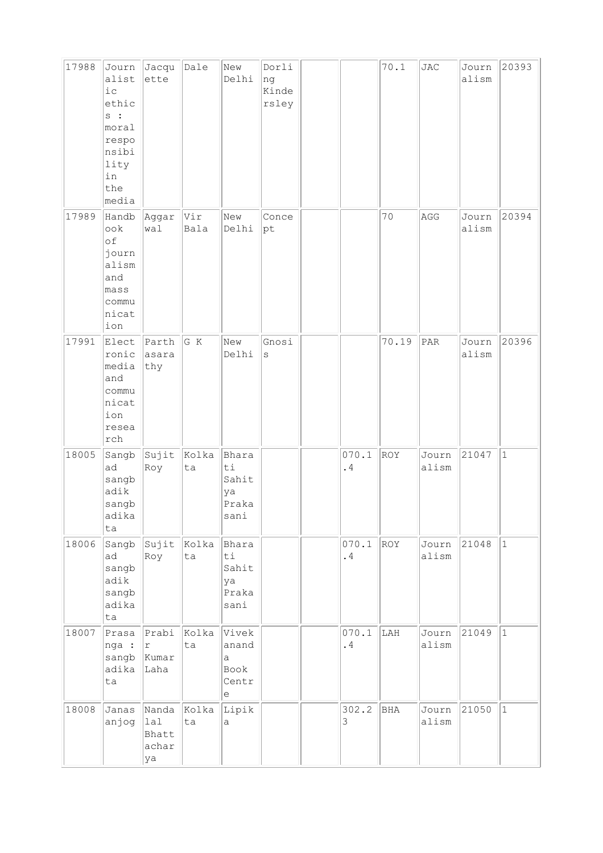| 17988 | Journ<br>alist<br>i c<br>ethic<br>s :<br>moral<br>respo<br>nsibi<br>lity<br>in<br>the<br>media | Jacqu<br>ette                        | Dale        | New<br>Delhi                                                                                         | Dorli<br>ng<br>Kinde<br>rsley |             | 70.1  | <b>JAC</b>     | Journ<br>alism | 20393        |
|-------|------------------------------------------------------------------------------------------------|--------------------------------------|-------------|------------------------------------------------------------------------------------------------------|-------------------------------|-------------|-------|----------------|----------------|--------------|
| 17989 | Handb<br>ook<br>οf<br>journ<br>alism<br>and<br>mass<br>commu<br>nicat<br>ion                   | Aggar<br>wal                         | Vir<br>Bala | New<br>Delhi                                                                                         | Conce<br>pt                   |             | 70    | AGG            | Journ<br>alism | 20394        |
| 17991 | Elect<br>ronic<br>media<br>and<br>commu<br>nicat<br>ion<br>resea<br>${\tt rch}$                | Parth<br>asara<br>thy                | G K         | New<br>Delhi                                                                                         | Gnosi<br>$\rm s$              |             | 70.19 | PAR            | Journ<br>alism | 20396        |
| 18005 | Sangb<br>ad<br>sangb<br>adik<br>sangb<br>adika<br>ta                                           | Sujit<br>Roy                         | Kolka<br>ta | Bhara<br>ti<br>Sahit<br>ya<br>Praka<br>sani                                                          |                               | 070.1<br>.4 | ROY   | Journ<br>alism | 21047          | $\vert$ 1    |
| 18006 | Sangb<br>ad<br>sangb<br>adik<br>sangb<br>adika<br>ta                                           | sujit<br>Roy                         | Kolka<br>ta | Bhara<br>ti<br>Sahit<br>ya<br>Praka<br>sani                                                          |                               | 070.1<br>.4 | ROY   | Journ<br>alism | 21048          | $ 1\rangle$  |
| 18007 | Prasa<br>nga :<br>sangb<br>adika<br>ta                                                         | $ $ Prabi<br>r<br>Kumar<br>Laha      | Kolka<br>ta | Vivek<br>anand<br>$\mathsf{a}$<br>Book<br>Centr<br>$\mathsf{e}% _{t}\!\left( \mathcal{A}_{t}\right)$ |                               | 070.1<br>.4 | LAH   | Journ<br>alism | 21049          | $\vert$ 1    |
| 18008 | Janas<br>anjog                                                                                 | Nanda<br>lal<br>Bhatt<br>achar<br>ya | Kolka<br>ta | Lipik<br>a                                                                                           |                               | 302.2<br>3  | BHA   | Journ<br>alism | 21050          | $\mathbf{1}$ |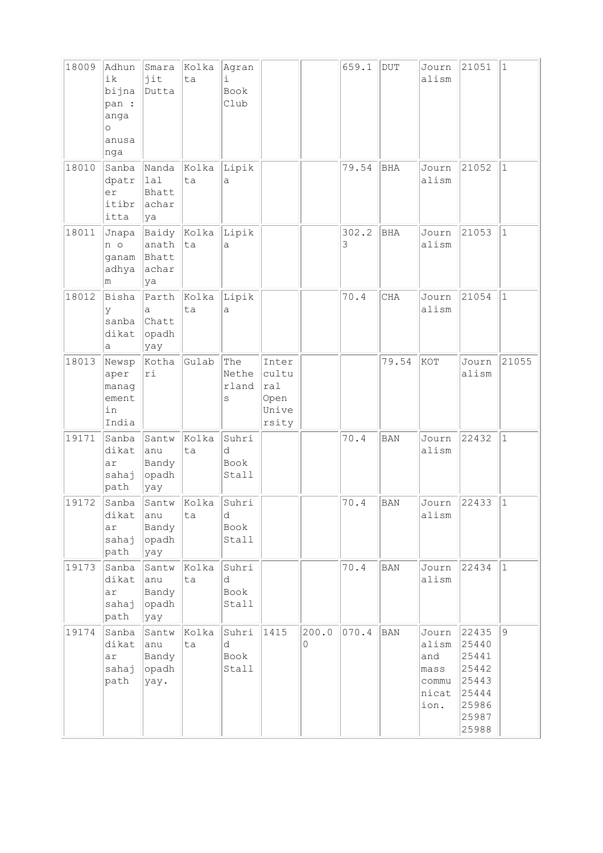| 18009 | Adhun<br>ik<br>bijna<br>pan :<br>anga<br>$\circ$<br>anusa<br>nga | Smara<br>jit<br>Dutta                        | Kolka<br>ta | Agran<br>i.<br>Book<br>Club |                                                 |            | 659.1      | $\rm DUT$    | Journ<br>alism                                          | 21051                                                                         | $\vert$ 1     |
|-------|------------------------------------------------------------------|----------------------------------------------|-------------|-----------------------------|-------------------------------------------------|------------|------------|--------------|---------------------------------------------------------|-------------------------------------------------------------------------------|---------------|
| 18010 | Sanba<br>dpatr<br>er<br>itibr<br>itta                            | Nanda<br>$\vert$ lal<br>Bhatt<br>achar<br>ya | Kolka<br>ta | Lipik<br>a                  |                                                 |            | 79.54      | <b>BHA</b>   | Journ<br>alism                                          | 21052                                                                         | $ 1\rangle$   |
| 18011 | Jnapa<br>n o<br>ganam<br>adhya<br>m                              | Baidy<br>anath<br>Bhatt<br>achar<br>ya       | Kolka<br>ta | Lipik<br>а                  |                                                 |            | 302.2<br>3 | <b>BHA</b>   | Journ<br>alism                                          | 21053                                                                         | $\mathbf{1}$  |
| 18012 | Bisha<br>У<br>sanba<br>dikat<br>а                                | Parth<br>a<br>Chatt<br>opadh<br>yay          | Kolka<br>ta | Lipik<br>a                  |                                                 |            | 70.4       | CHA          | Journ<br>alism                                          | 21054                                                                         | $ 1\rangle$   |
| 18013 | Newsp<br>aper<br>manag<br>ement<br>in<br>India                   | Kotha<br>ri                                  | Gulab       | The<br>Nethe<br>rland<br>S  | Inter<br>cultu<br>ral<br>Open<br>Unive<br>rsity |            |            | 79.54        | KOT                                                     | Journ<br>alism                                                                | 21055         |
| 19171 | Sanba<br>dikat<br>ar<br>sahaj<br>path                            | Santw<br>anu<br>Bandy<br>opadh<br>yay        | Kolka<br>ta | Suhri<br>d<br>Book<br>Stall |                                                 |            | 70.4       | <b>BAN</b>   | Journ<br>alism                                          | 22432                                                                         | $\mathbf{1}$  |
| 19172 | Sanba<br>dikat<br>ar<br>sahaj<br>path                            | Santw<br>anu<br>Bandy<br>opadh<br>yay        | Kolka<br>ta | Suhri<br>d<br>Book<br>Stall |                                                 |            | 70.4       | <b>BAN</b>   | Journ<br>alism                                          | 22433                                                                         | $\vert$ 1     |
| 19173 | Sanba<br>dikat<br>ar<br>sahaj<br>path                            | Santw<br>anu<br>Bandy<br>opadh<br>yay        | Kolka<br>ta | Suhri<br>d<br>Book<br>Stall |                                                 |            | 70.4       | <b>BAN</b>   | Journ<br>alism                                          | 22434                                                                         | $ 1\rangle$   |
| 19174 | Sanba<br>dikat<br>ar<br>sahaj<br>path                            | Santw<br>anu<br>Bandy<br>opadh<br>yay.       | Kolka<br>ta | Suhri<br>d<br>Book<br>Stall | 1415                                            | 200.0<br>0 | 070.4      | $_{\rm BAN}$ | Journ<br>alism<br>and<br>mass<br>commu<br>nicat<br>ion. | 22435<br>25440<br>25441<br>25442<br>25443<br>25444<br>25986<br>25987<br>25988 | $\mathcal{G}$ |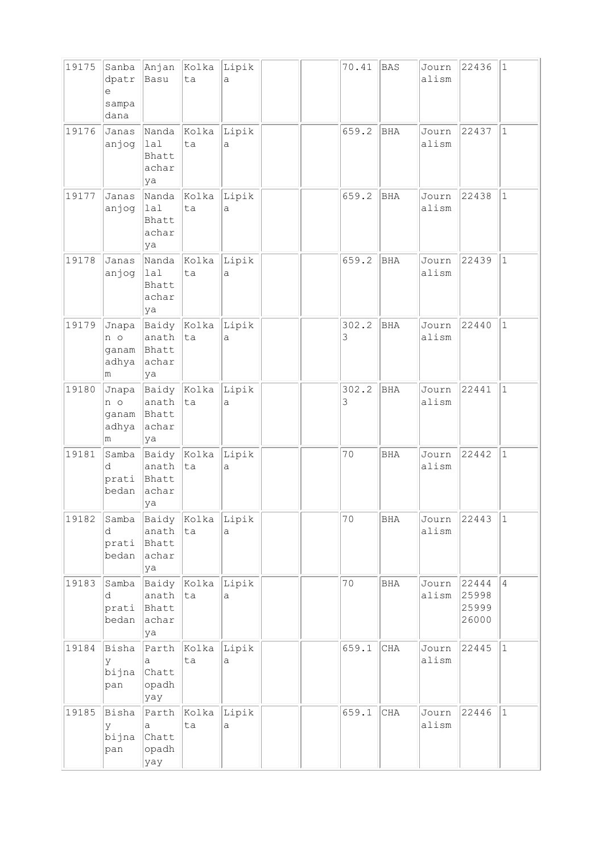| 19175 | Sanba<br>dpatr<br>e<br>sampa<br>dana | Anjan<br>Basu                          | Kolka<br>ta              | Lipik<br>a   |  | 70.41      | <b>BAS</b> | Journ<br>alism       | 22436                   | $\vert$ 1      |
|-------|--------------------------------------|----------------------------------------|--------------------------|--------------|--|------------|------------|----------------------|-------------------------|----------------|
| 19176 | Janas<br>anjog                       | Nanda<br>lal<br>Bhatt<br>achar<br>ya   | Kolka<br>ta              | Lipik<br>a   |  | 659.2      | <b>BHA</b> | Journ<br>alism       | 22437                   | $\mathbf{1}$   |
| 19177 | Janas<br>anjog                       | Nanda<br>lal<br>Bhatt<br>achar<br>ya   | Kolka<br>ta              | Lipik<br>a   |  | 659.2      | <b>BHA</b> | Journ<br>alism       | 22438                   | $\vert$ 1      |
| 19178 | Janas<br>anjog                       | Nanda<br>lal<br>Bhatt<br>achar<br>ya   | Kolka<br>ta              | Lipik<br>a   |  | 659.2      | <b>BHA</b> | Journ<br>alism       | 22439                   | $\mathbf{1}$   |
| 19179 | Jnapa<br>n o<br>ganam<br>adhya<br>m  | Baidy<br>anath<br>Bhatt<br>achar<br>ya | Kolka<br> ta             | Lipik<br>a   |  | 302.2<br>3 | <b>BHA</b> | Journ<br>alism       | 22440                   | $\vert$ 1      |
| 19180 | Jnapa<br>n o<br>ganam<br>adhya<br>m  | Baidy<br>anath<br>Bhatt<br>achar<br>ya | Kolka<br> ta             | Lipik<br>a   |  | 302.2<br>3 | <b>BHA</b> | Journ<br>alism       | 22441                   | $\mathbf{1}$   |
| 19181 | Samba<br>d<br>prati<br>bedan         | Baidy<br>anath<br>Bhatt<br>achar<br>ya | Kolka<br>lta             | Lipik<br>a   |  | 70         | <b>BHA</b> | Journ<br>alism       | 22442                   | $\mathbf{1}$   |
| 19182 | Samba<br>d<br>prati<br>bedan         | anath<br>Bhatt<br>achar<br>ya          | Baidy Kolka Lipik<br> ta | a            |  | 70         | <b>BHA</b> | Journ<br>alism       | 22443                   | $ 1\rangle$    |
| 19183 | Samba<br>d<br>prati<br>bedan         | anath<br>Bhatt<br>achar<br>ya          | Baidy Kolka<br> ta       | Lipik<br>а   |  | 70         | BHA        | Journ 22444<br>alism | 25998<br>25999<br>26000 | $\overline{4}$ |
| 19184 | Bisha<br>У<br>bijna<br>pan           | Parth<br>а<br>Chatt<br>opadh<br>yay    | Kolka Lipik<br>ta        | а            |  | 659.1      | $\rm CHA$  | Journ<br>alism       | 22445                   | $ 1\rangle$    |
| 19185 | Bisha<br>У<br>bijna<br>pan           | a<br>Chatt<br>opadh<br>yay             | Parth Kolka Lipik<br>ta  | $\mathsf{a}$ |  | 659.1      | $\rm CHA$  | Journ<br>alism       | 22446                   | $ 1\rangle$    |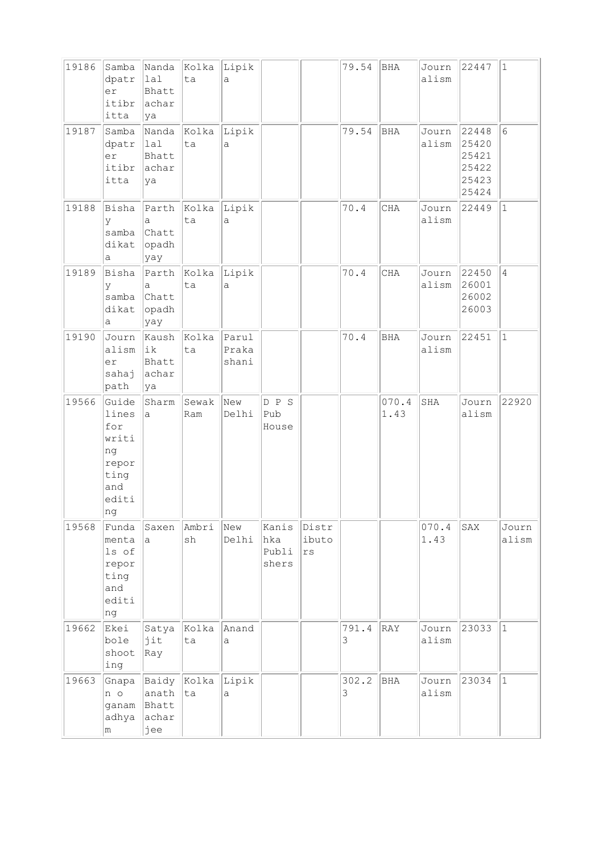| 19186 | Samba<br>dpatr<br>er<br>itibr<br>itta                                        | Nanda<br> 1a1<br>Bhatt<br>achar<br>ya   | Kolka<br>ta       | Lipik<br>a              |                                |                      | 79.54      | BHA           | Journ<br>alism | 22447                                              | $\vert$ 1       |
|-------|------------------------------------------------------------------------------|-----------------------------------------|-------------------|-------------------------|--------------------------------|----------------------|------------|---------------|----------------|----------------------------------------------------|-----------------|
| 19187 | Samba<br>dpatr<br>er<br>itibr<br>itta                                        | Nanda<br> 1a1<br>Bhatt<br>achar<br>ya   | Kolka<br>ta       | Lipik<br>a              |                                |                      | 79.54      | <b>BHA</b>    | Journ<br>alism | 22448<br>25420<br>25421<br>25422<br>25423<br>25424 | $6\phantom{.}6$ |
| 19188 | Bisha<br>У<br>samba<br>dikat<br>а                                            | a<br>Chatt<br>opadh<br>yay              | Parth Kolka<br>ta | Lipik<br>a              |                                |                      | 70.4       | CHA           | Journ<br>alism | 22449                                              | $\vert$ 1       |
| 19189 | Bisha<br>У<br>samba<br>dikat<br>а                                            | a<br>Chatt<br>opadh<br>yay              | Parth Kolka<br>ta | Lipik<br>a              |                                |                      | 70.4       | CHA           | Journ<br>alism | 22450<br>26001<br>26002<br>26003                   | $\overline{4}$  |
| 19190 | Journ<br>alism<br>er<br>sahaj<br>path                                        | Kaush<br> ik<br>Bhatt<br>achar<br>ya    | Kolka<br>ta       | Parul<br>Praka<br>shani |                                |                      | 70.4       | BHA           | Journ<br>alism | 22451                                              | $\vert$ 1       |
| 19566 | Guide<br>lines<br>for<br>writi<br>ng<br>repor<br>ting<br>and<br>editi<br> ng | Sharm<br>a                              | Sewak<br>Ram      | New<br>Delhi            | D P S<br>Pub<br>House          |                      |            | 070.4<br>1.43 | SHA            | Journ<br>alism                                     | 22920           |
| 19568 | Funda<br>menta<br>ls of<br>repor<br>ting<br>and<br>editi<br>ng               | Saxen<br>a                              | Ambri<br>sh       | New<br>Delhi            | Kanis<br>hka<br>Publi<br>shers | Distr<br>ibuto<br>rs |            |               | 070.4<br>1.43  | SAX                                                | Journ<br>alism  |
| 19662 | Ekei<br>bole<br>shoot<br>ing                                                 | Satya<br>jit<br>Ray                     | Kolka<br>ta       | Anand<br>a              |                                |                      | 791.4<br>3 | RAY           | Journ<br>alism | 23033                                              | $\vert$ 1       |
| 19663 | Gnapa<br>n o<br>ganam<br>adhya<br>m                                          | Baidy<br>anath<br>Bhatt<br>achar<br>jee | Kolka<br> ta      | Lipik<br>a              |                                |                      | 302.2<br>3 | <b>BHA</b>    | Journ<br>alism | 23034                                              | $ 1\rangle$     |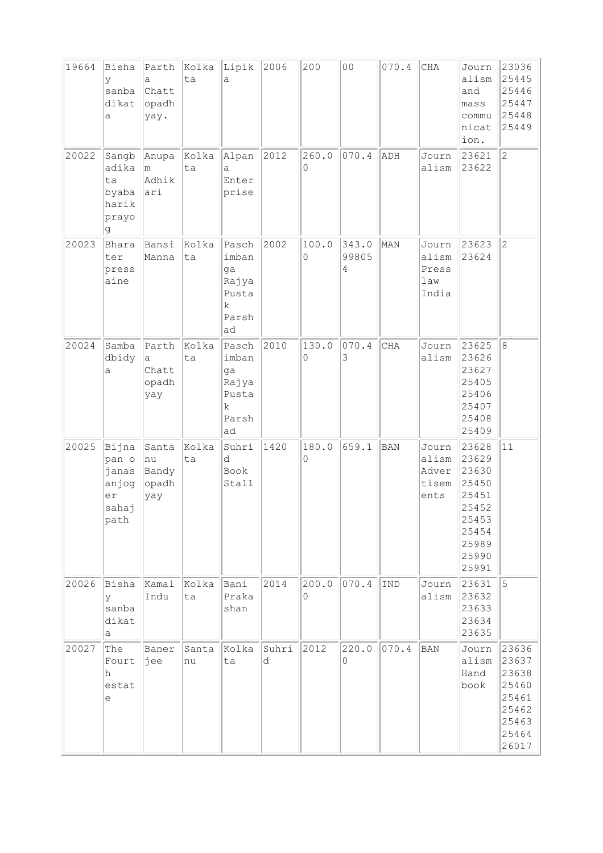| 19664 | Bisha<br>У<br>sanba<br>dikat<br>a                                      | Parth<br>a<br>Chatt<br>opadh<br>yay. | Kolka<br>ta | Lipik<br>a                                                           | 2006       | 200        | 0 <sub>0</sub>      | 070.4      | $\rm CHA$                                | Journ<br>alism<br>and<br>mass<br>commu<br>nicat<br>ion.                                         | 23036<br>25445<br>25446<br>25447<br>25448<br>25449                            |
|-------|------------------------------------------------------------------------|--------------------------------------|-------------|----------------------------------------------------------------------|------------|------------|---------------------|------------|------------------------------------------|-------------------------------------------------------------------------------------------------|-------------------------------------------------------------------------------|
| 20022 | Sangb<br>adika<br>ta<br>byaba<br>harik<br>prayo<br>g                   | Anupa<br>m<br>Adhik<br>ari           | Kolka<br>ta | Alpan<br>a<br>Enter<br>prise                                         | 2012       | 260.0<br>0 | 070.4               | ADH        | Journ<br>alism                           | 23621<br>23622                                                                                  | $\overline{c}$                                                                |
| 20023 | Bhara<br>ter<br>press<br>aine                                          | Bansi<br>Manna                       | Kolka<br>ta | Pasch<br>imban<br>ga<br>Rajya<br>Pusta<br>k.<br>Parsh<br>ad          | 2002       | 100.0<br>0 | 343.0<br>99805<br>4 | MAN        | Journ<br>alism<br>Press<br>law<br>India  | 23623<br>23624                                                                                  | $\overline{c}$                                                                |
| 20024 | Samba<br>dbidy<br>a                                                    | Parth<br>a<br>Chatt<br>opadh<br>yay  | Kolka<br>ta | Pasch<br>imban<br>ga<br>Rajya<br>Pusta<br>$\mathbf k$<br>Parsh<br>ad | 2010       | 130.0<br>0 | 070.4<br>3          | CHA        | Journ<br>alism                           | 23625<br>23626<br>23627<br>25405<br>25406<br>25407<br>25408<br>25409                            | 8                                                                             |
| 20025 | Bijna<br>pan o<br>janas<br>anjog<br>er<br>sahaj<br>path                | Santa<br>nu<br>Bandy<br>opadh<br>yay | Kolka<br>ta | Suhri<br>d<br>Book<br>Stall                                          | 1420       | 180.0<br>0 | 659.1               | <b>BAN</b> | Journ<br>alism<br>Adver<br>tisem<br>ents | 23628<br>23629<br>23630<br>25450<br>25451<br>25452<br>25453<br>25454<br>25989<br>25990<br>25991 | 11                                                                            |
| 20026 | Bisha<br>У<br>sanba<br>dikat<br>a                                      | Kamal<br>Indu                        | Kolka<br>ta | Bani<br>Praka<br>shan                                                | 2014       | 200.0<br>0 | 070.4               | <b>IND</b> | Journ<br>alism                           | 23631<br>23632<br>23633<br>23634<br>23635                                                       | 5                                                                             |
| 20027 | The<br>Fourt<br>h<br>estat<br>$\mathrel{\mathop{\mathrm{e}}\nolimits}$ | Baner<br>jee                         | Santa<br>nu | Kolka<br>ta                                                          | Suhri<br>d | 2012       | 220.0<br>$\circ$    | 070.4      | BAN                                      | Journ<br>alism<br>Hand<br>book                                                                  | 23636<br>23637<br>23638<br>25460<br>25461<br>25462<br>25463<br>25464<br>26017 |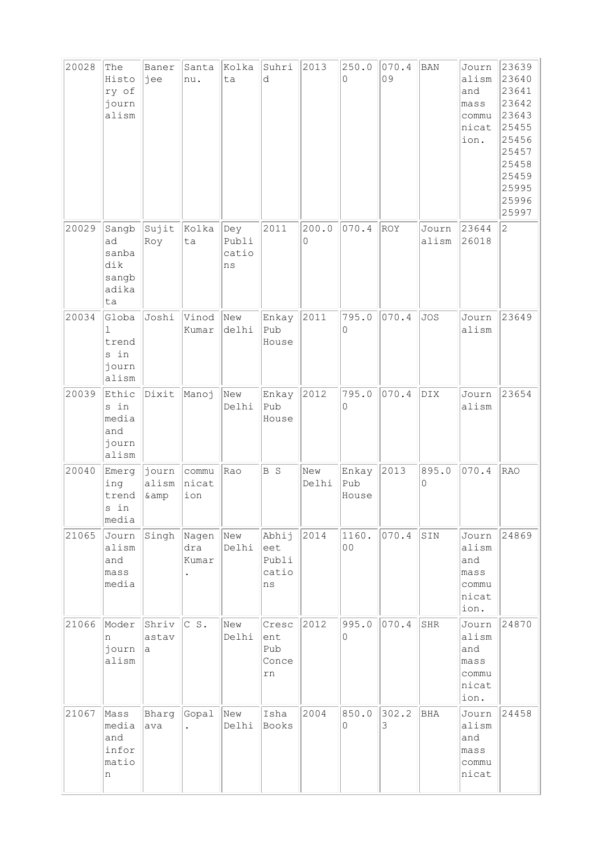| 20028 | The<br>Histo<br>ry of<br>journ<br>alism             | Baner<br>jee            | Santa<br>nu.          | Kolka<br>ta                 | Suhri<br>d                           | 2013         | 250.0<br>$\Omega$       | 070.4<br>09 | <b>BAN</b>     | Journ<br>alism<br>and<br>mass <sub>S</sub><br>commu<br>nicat<br>ion. | 23639<br>23640<br>23641<br>23642<br>23643<br>25455<br>25456<br>25457<br>25458<br>25459<br>25995<br>25996<br>25997 |
|-------|-----------------------------------------------------|-------------------------|-----------------------|-----------------------------|--------------------------------------|--------------|-------------------------|-------------|----------------|----------------------------------------------------------------------|-------------------------------------------------------------------------------------------------------------------|
| 20029 | Sangb<br>ad<br>sanba<br>dik<br>sangb<br>adika<br>ta | Sujit<br>Roy            | Kolka<br>ta           | Dey<br>Publi<br>catio<br>ns | 2011                                 | 200.0<br>0   | 070.4                   | <b>ROY</b>  | Journ<br>alism | 23644<br>26018                                                       | $\overline{c}$                                                                                                    |
| 20034 | Globa<br>1<br>trend<br>s in<br>journ<br>alism       | Joshi                   | Vinod<br>Kumar        | New<br>delhi                | Enkay<br>Pub<br>House                | 2011         | 795.0<br>$\Omega$       | 070.4       | <b>JOS</b>     | Journ<br>alism                                                       | 23649                                                                                                             |
| 20039 | Ethic<br>s in<br>media<br>and<br>journ<br>alism     | Dixit                   | Manoj                 | New<br>Delhi                | Enkay<br>Pub<br>House                | 2012         | 795.0<br>$\Omega$       | 070.4       | DIX            | Journ<br>alism                                                       | 23654                                                                                                             |
| 20040 | Emerg<br>ing<br>trend<br>s in<br>media              | journ<br>alism<br>& amp | commu<br>nicat<br>ion | Rao                         | B S                                  | New<br>Delhi | Enkay<br>Pub<br>House   | 2013        | 895.0<br>0     | 070.4                                                                | <b>RAO</b>                                                                                                        |
| 21065 | Journ<br>alism<br>and<br>mass<br>media              | Singh                   | Nagen<br>dra<br>Kumar | New<br>Delhi                | Abhij<br>eet<br>Publi<br>catio<br>ns | 2014         | 1160.<br>0 <sub>0</sub> | 070.4       | SIN            | Journ<br>alism<br>and<br>mass<br>commu<br>nicat<br>ion.              | 24869                                                                                                             |
| 21066 | Moder<br>n<br>journ<br>alism                        | Shriv<br>astav<br>a     | CS.                   | New<br>Delhi                | Cresc<br>ent<br>Pub<br>Conce<br>rn   | 2012         | 995.0<br>$\circ$        | 070.4       | SHR            | Journ<br>alism<br>and<br>mass<br>commu<br>nicat<br>ion.              | 24870                                                                                                             |
| 21067 | Mass<br>media<br>and<br>infor<br>matio<br>n         | Bharg<br>ava            | Gopal                 | New<br>Delhi                | Isha<br>Books                        | 2004         | 850.0<br>$\circ$        | 302.2<br>3  | BHA            | Journ<br>alism<br>and<br>mass<br>commu<br>nicat                      | 24458                                                                                                             |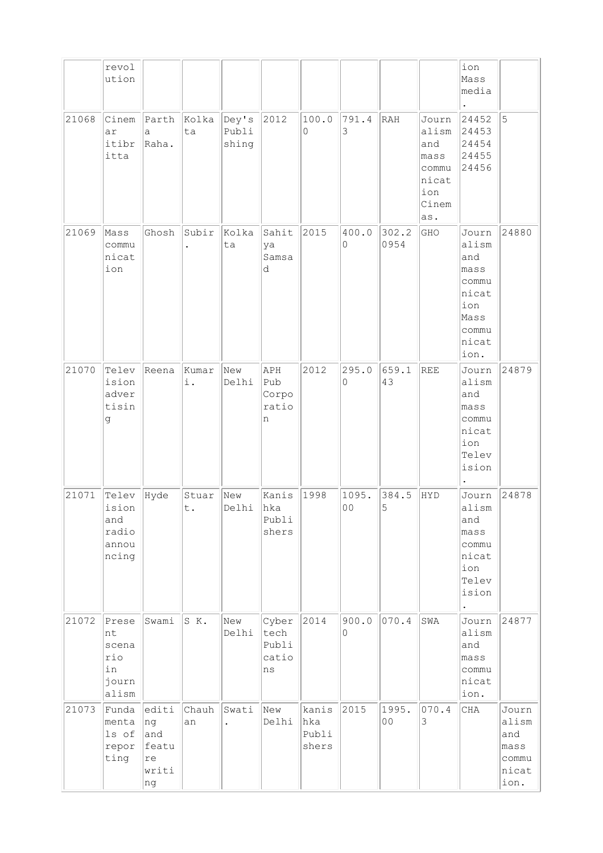|       | revol<br>ution                                      |                                                  |             |                         |                                             |                                |              |                         |                                                                        | ion<br>Mass<br>media                                                                     |                                                         |
|-------|-----------------------------------------------------|--------------------------------------------------|-------------|-------------------------|---------------------------------------------|--------------------------------|--------------|-------------------------|------------------------------------------------------------------------|------------------------------------------------------------------------------------------|---------------------------------------------------------|
| 21068 | Cinem<br>ar<br>itibr<br>itta                        | Parth<br>$\mathsf{a}$<br>Raha.                   | Kolka<br>ta | Dey's<br>Publi<br>shing | 2012                                        | 100.0<br>0                     | 791.4<br>3   | RAH                     | Journ<br>alism<br>and<br>mass<br>commu<br>nicat<br>ion<br>Cinem<br>as. | 24452<br>24453<br>24454<br>24455<br>24456                                                | 5                                                       |
| 21069 | Mass<br>commu<br>nicat<br>ion                       | Ghosh                                            | Subir       | Kolka<br>ta             | Sahit<br>ya<br>Samsa<br>d                   | 2015                           | 400.0<br>0   | 302.2<br>0954           | GHO                                                                    | Journ<br>alism<br>and<br>mass<br>commu<br>nicat<br>ion<br>Mass<br>commu<br>nicat<br>ion. | 24880                                                   |
| 21070 | Telev<br>ision<br>adver<br>tisin<br>g               | Reena                                            | Kumar<br>i. | New<br>Delhi            | APH<br>Pub<br>Corpo<br>ratio<br>n           | 2012                           | 295.0<br>0   | 659.1<br>43             | REE                                                                    | Journ<br>alism<br>and<br>mass<br>commu<br>nicat<br>ion<br>Telev<br>ision                 | 24879                                                   |
| 21071 | Telev<br>ision<br>and<br>radio<br>annou<br>ncing    | Hyde                                             | Stuar<br>t. | New<br>Delhi            | Kanis<br>hka<br>Publi<br>shers              | 1998                           | 1095.<br>O O | 384.5<br>Ⴢ              | HYD                                                                    | Journ<br>alism<br>and<br>mass<br>commu<br>nicat<br>ion<br>Telev<br>ision<br>$\bullet$    | 24878                                                   |
| 21072 | Prese<br>nt<br>scena<br>rio<br>in<br>journ<br>alism | Swami                                            | S K.        | New<br>Delhi            | Cyber<br>tech<br>Publi<br>catio<br>$\rm ns$ | 2014                           | 900.0<br>0   | 070.4                   | SWA                                                                    | Journ<br>alism<br>and<br>mass<br>commu<br>nicat<br>ion.                                  | 24877                                                   |
| 21073 | Funda<br>menta<br>ls of<br>repor<br>ting            | editi<br>ng<br>and<br>featu<br>re<br>writi<br>ng | Chauh<br>an | Swati                   | New<br>Delhi                                | kanis<br>hka<br>Publi<br>shers | 2015         | 1995.<br>0 <sub>0</sub> | 070.4<br>3                                                             | CHA                                                                                      | Journ<br>alism<br>and<br>mass<br>commu<br>nicat<br>ion. |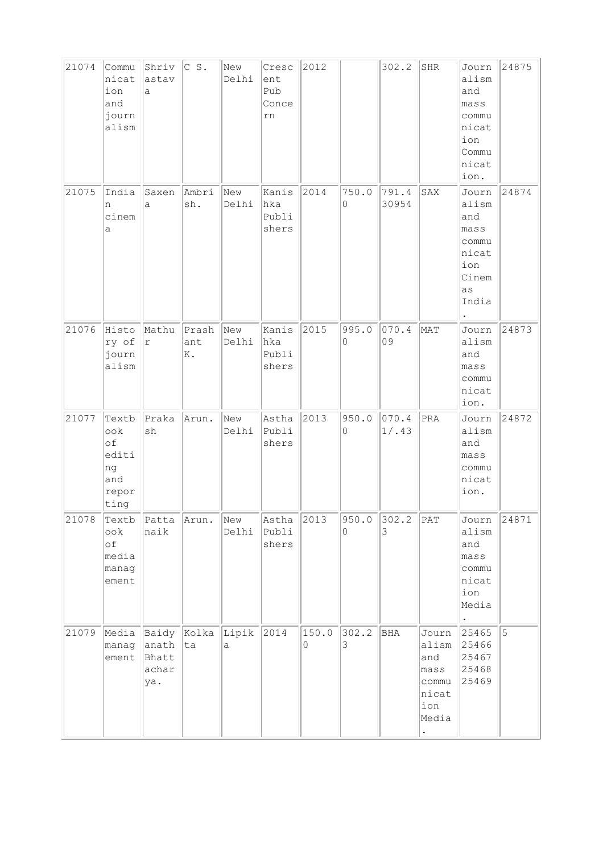| 21074 | Commu<br>nicat<br>ion<br>and<br>journ<br>alism            | Shriv<br>astav<br>a                     | $\begin{array}{ccc} \circ & \circ \end{array}$ . | New<br>Delhi | Cresc<br>ent<br>Pub<br>Conce<br>rn | 2012       |            | 302.2          | SHR                                                             | Journ<br>alism<br>and<br>mass<br>commu<br>nicat<br>ion<br>Commu<br>nicat<br>ion. | 24875 |
|-------|-----------------------------------------------------------|-----------------------------------------|--------------------------------------------------|--------------|------------------------------------|------------|------------|----------------|-----------------------------------------------------------------|----------------------------------------------------------------------------------|-------|
| 21075 | India<br>n<br>cinem<br>a                                  | Saxen<br>a                              | Ambri<br>sh.                                     | New<br>Delhi | Kanis<br>hka<br>Publi<br>shers     | 2014       | 750.0<br>0 | 791.4<br>30954 | SAX                                                             | Journ<br>alism<br>and<br>mass<br>commu<br>nicat<br>ion<br>Cinem<br>as<br>India   | 24874 |
| 21076 | Histo<br>ry of<br>journ<br>alism                          | Mathu<br>r                              | Prash<br>ant<br>K.                               | New<br>Delhi | Kanis<br>hka<br>Publi<br>shers     | 2015       | 995.0<br>0 | 070.4<br>09    | MAT                                                             | Journ<br>alism<br>and<br>mass<br>commu<br>nicat<br>ion.                          | 24873 |
| 21077 | Textb<br>ook<br>of<br>editi<br>ng<br>and<br>repor<br>ting | Praka<br>sh                             | Arun.                                            | New<br>Delhi | Astha<br>Publi<br>shers            | 2013       | 950.0<br>0 | 070.4<br>1/.43 | PRA                                                             | Journ<br>alism<br>and<br>mass<br>commu<br>nicat<br>ion.                          | 24872 |
| 21078 | Textb<br>ook<br>of<br>media<br>manag<br>ement             | Patta<br>naik                           | Arun.                                            | New<br>Delhi | Astha<br>Publi<br>shers            | 2013       | 950.0<br>0 | 302.2<br>3     | $ $ PAT                                                         | Journ<br>alism<br>and<br>mass<br>commu<br>nicat<br>ion<br>Media                  | 24871 |
| 21079 | Media<br>manag<br>ement                                   | Baidy<br>anath<br>Bhatt<br>achar<br>ya. | Kolka Lipik<br> ta                               | a            | 2014                               | 150.0<br>0 | 302.2<br>3 | BHA            | Journ<br>alism<br>and<br>mass<br>commu<br>nicat<br>ion<br>Media | 25465<br>25466<br>25467<br>25468<br>25469                                        | 5     |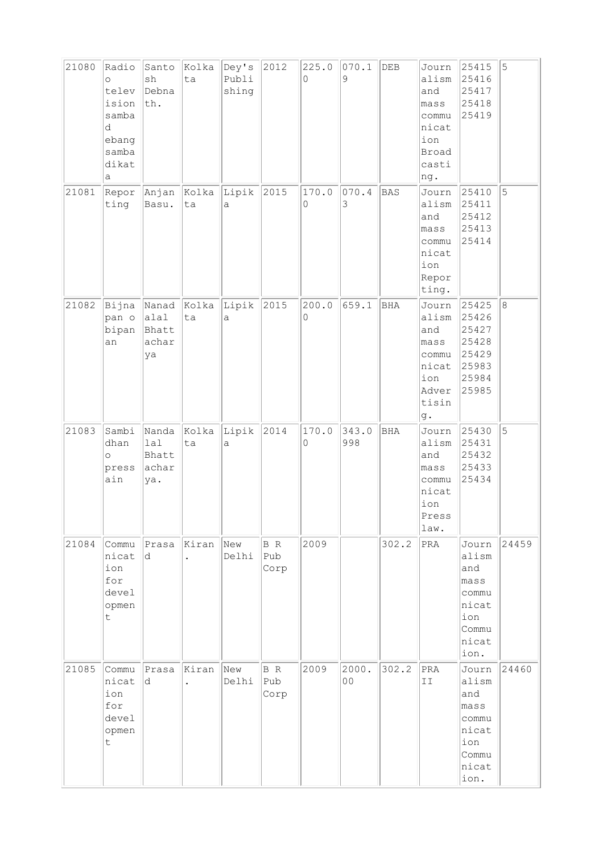| 21080 | Radio<br>$\circ$<br>telev<br>ision<br>samba<br>d<br>ebang<br>samba<br>dikat<br>а | Santo<br>$\operatorname{sh}$<br>Debna<br>th. | Kolka<br>ta                   | Dey's<br>Publi<br>shing | 2012               | 225.0<br>0 | 070.1<br>9   | DEB        | Journ<br>alism<br>and<br>mass<br>commu<br>nicat<br>ion<br><b>Broad</b><br>casti<br>ng. | 25415<br>25416<br>25417<br>25418<br>25419                                        | 5     |
|-------|----------------------------------------------------------------------------------|----------------------------------------------|-------------------------------|-------------------------|--------------------|------------|--------------|------------|----------------------------------------------------------------------------------------|----------------------------------------------------------------------------------|-------|
| 21081 | Repor<br>ting                                                                    | Anjan Kolka<br>Basu.                         | ta                            | Lipik<br>$\mathsf{a}$   | 2015               | 170.0<br>0 | 070.4<br>3   | BAS        | Journ<br>alism<br>and<br>mass<br>commu<br>nicat<br>ion<br>Repor<br>ting.               | 25410<br>25411<br>25412<br>25413<br>25414                                        | 5     |
| 21082 | pan o<br>bipan<br>an                                                             | Bijna Nanad<br>alal<br>Bhatt<br>achar<br>ya  | Kolka<br>ta                   | Lipik<br>a              | 2015               | 200.0<br>0 | 659.1        | <b>BHA</b> | Journ<br>alism<br>and<br>mass<br>commu<br>nicat<br>ion<br>Adver<br>tisin<br>g.         | 25425<br>25426<br>25427<br>25428<br>25429<br>25983<br>25984<br>25985             | 8     |
| 21083 | Sambi<br>dhan<br>$\circ$<br>press<br>ain                                         | Nanda<br>lal<br>Bhatt<br>achar<br>ya.        | Kolka<br>ta                   | Lipik<br>а              | 2014               | 170.0<br>0 | 343.0<br>998 | <b>BHA</b> | Journ<br>alism<br>and<br>mass<br>commu<br>nicat<br>ion<br>Press<br>law.                | 25430<br>25431<br>25432<br>25433<br>25434                                        | 5     |
| 21084 | Commu<br>nicat<br>ion<br>for<br>devel<br>opmen<br>t                              | Prasa<br>d.                                  | Kiran                         | New<br>Delhi            | B R<br>Pub<br>Corp | 2009       |              | 302.2      | PRA                                                                                    | Journ<br>alism<br>and<br>mass<br>commu<br>nicat<br>ion<br>Commu<br>nicat<br>ion. | 24459 |
| 21085 | Commu<br>nicat<br>ion<br>for<br>devel<br>opmen<br>t.                             | Prasa<br>d                                   | Kiran<br>$\ddot{\phantom{0}}$ | New<br>Delhi            | B R<br>Pub<br>Corp | 2009       | 2000.<br>00  | 302.2      | PRA<br>II                                                                              | Journ<br>alism<br>and<br>mass<br>commu<br>nicat<br>ion<br>Commu<br>nicat<br>ion. | 24460 |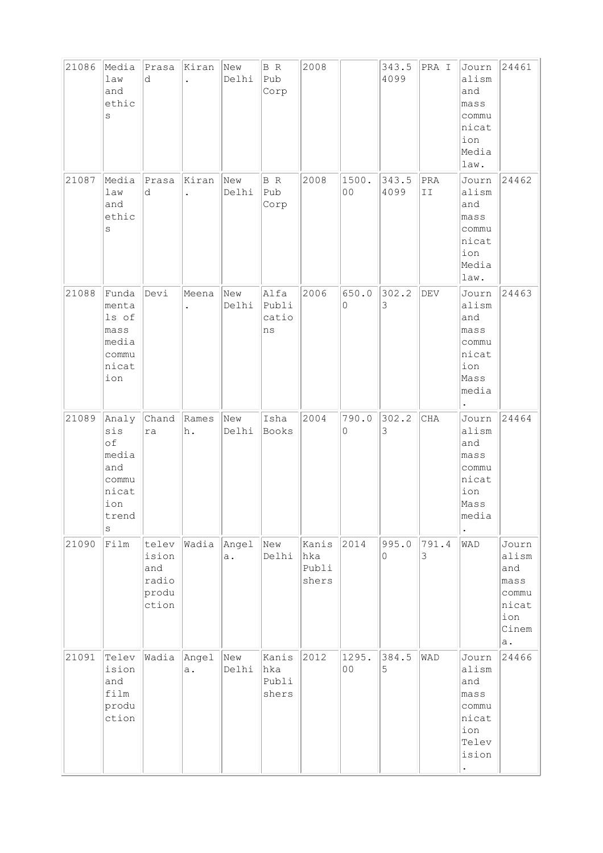| 21086 | Media<br>law<br>and<br>ethic<br>$\rm s$                                         | Prasa<br>d                                       | Kiran<br>$\ddot{\phantom{0}}$ | New<br>Delhi | B R<br>Pub<br>Corp             | 2008                           |                         | 343.5<br>4099 | PRA I      | Journ<br>alism<br>and<br>mass<br>commu<br>nicat<br>ion<br>Media<br>law.              | 24461                                                                 |
|-------|---------------------------------------------------------------------------------|--------------------------------------------------|-------------------------------|--------------|--------------------------------|--------------------------------|-------------------------|---------------|------------|--------------------------------------------------------------------------------------|-----------------------------------------------------------------------|
| 21087 | Media<br>law<br>and<br>ethic<br>S                                               | Prasa<br>d                                       | Kiran<br>$\ddot{\phantom{0}}$ | New<br>Delhi | B R<br>Pub<br>Corp             | 2008                           | 1500.<br>0 <sub>0</sub> | 343.5<br>4099 | PRA<br>II  | Journ<br>alism<br>and<br>mass<br>commu<br>nicat<br>ion<br>Media<br>law.              | 24462                                                                 |
| 21088 | Funda<br>menta<br>ls of<br>mass<br>media<br>commu<br>nicat<br>ion               | Devi                                             | Meena<br>$\ddot{\phantom{0}}$ | New<br>Delhi | Alfa<br>Publi<br>catio<br>ns   | 2006                           | 650.0<br>0              | 302.2<br>3    | DEV        | Journ<br>alism<br>and<br>mass<br>commu<br>nicat<br>ion<br>Mass<br>media<br>$\bullet$ | 24463                                                                 |
| 21089 | Analy<br>sis<br>of<br>media<br>and<br>commu<br>nicat<br>ion<br>trend<br>$\rm s$ | Chand<br>ra                                      | Rames<br>h.                   | New<br>Delhi | Isha<br>Books                  | 2004                           | 790.0<br>0              | 302.2<br>3    | <b>CHA</b> | Journ<br>alism<br>and<br>mass<br>commu<br>nicat<br>ion<br>Mass<br>media              | 24464                                                                 |
| 21090 | Film                                                                            | telev<br>ision<br>and<br>radio<br>produ<br>ction | Wadia Angel                   | a.           | New<br>Delhi                   | Kanis<br>hka<br>Publi<br>shers | 2014                    | 995.0<br>0    | 791.4<br>3 | WAD                                                                                  | Journ<br>alism<br>and<br>mass<br>commu<br>nicat<br>ion<br>Cinem<br>a. |
| 21091 | Telev<br>ision<br>and<br>film<br>produ<br>ction                                 | Wadia Angel                                      | a.                            | New<br>Delhi | Kanis<br>hka<br>Publi<br>shers | 2012                           | 1295.<br>00             | 384.5<br>5    | WAD        | Journ<br>alism<br>and<br>mass<br>commu<br>nicat<br>ion<br>Telev<br>ision             | 24466                                                                 |